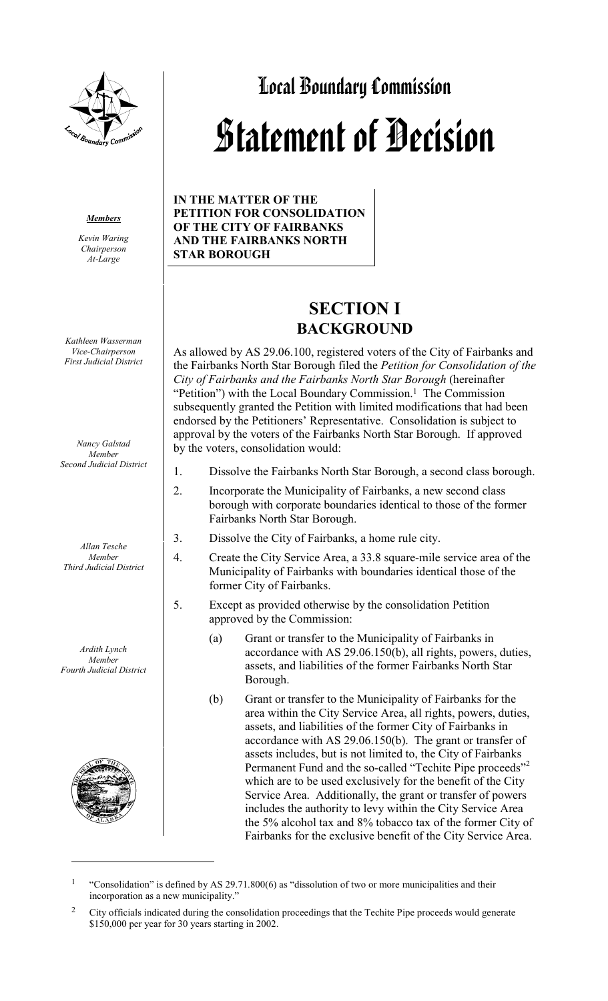

#### *Members*

*Kevin Waring Chairperson At-Large*

*Kathleen Wasserman Vice-Chairperson First Judicial District*

*Nancy Galstad Member Second Judicial District*

*Allan Tesche Member Third Judicial District*

*Ardith Lynch Member Fourth Judicial District*



 $\overline{a}$ 

# Local Boundary Commission Statement of Decision

**IN THE MATTER OF THE PETITION FOR CONSOLIDATION OF THE CITY OF FAIRBANKS AND THE FAIRBANKS NORTH STAR BOROUGH**

# **SECTION I BACKGROUND**

As allowed by AS 29.06.100, registered voters of the City of Fairbanks and the Fairbanks North Star Borough filed the *Petition for Consolidation of the City of Fairbanks and the Fairbanks North Star Borough* (hereinafter "Petition") with the Local Boundary Commission.<sup>1</sup> The Commission subsequently granted the Petition with limited modifications that had been endorsed by the Petitioners' Representative. Consolidation is subject to approval by the voters of the Fairbanks North Star Borough. If approved by the voters, consolidation would:

- 1. Dissolve the Fairbanks North Star Borough, a second class borough.
- 2. Incorporate the Municipality of Fairbanks, a new second class borough with corporate boundaries identical to those of the former Fairbanks North Star Borough.
- 3. Dissolve the City of Fairbanks, a home rule city.
- 4. Create the City Service Area, a 33.8 square-mile service area of the Municipality of Fairbanks with boundaries identical those of the former City of Fairbanks.
- 5. Except as provided otherwise by the consolidation Petition approved by the Commission:
	- (a) Grant or transfer to the Municipality of Fairbanks in accordance with AS 29.06.150(b), all rights, powers, duties, assets, and liabilities of the former Fairbanks North Star Borough.
	- (b) Grant or transfer to the Municipality of Fairbanks for the area within the City Service Area, all rights, powers, duties, assets, and liabilities of the former City of Fairbanks in accordance with AS 29.06.150(b). The grant or transfer of assets includes, but is not limited to, the City of Fairbanks Permanent Fund and the so-called "Techite Pipe proceeds"<sup>2</sup> which are to be used exclusively for the benefit of the City Service Area. Additionally, the grant or transfer of powers includes the authority to levy within the City Service Area the 5% alcohol tax and 8% tobacco tax of the former City of Fairbanks for the exclusive benefit of the City Service Area.

<sup>&</sup>lt;sup>1</sup> "Consolidation" is defined by AS 29.71.800(6) as "dissolution of two or more municipalities and their incorporation as a new municipality."

<sup>&</sup>lt;sup>2</sup> City officials indicated during the consolidation proceedings that the Techite Pipe proceeds would generate \$150,000 per year for 30 years starting in 2002.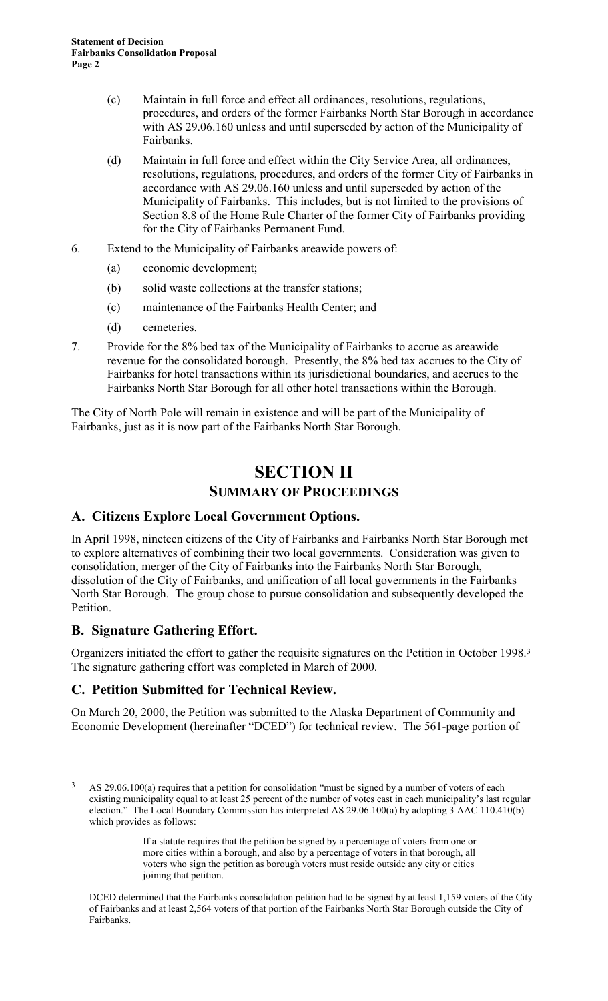- (c) Maintain in full force and effect all ordinances, resolutions, regulations, procedures, and orders of the former Fairbanks North Star Borough in accordance with AS 29.06.160 unless and until superseded by action of the Municipality of Fairbanks.
- (d) Maintain in full force and effect within the City Service Area, all ordinances, resolutions, regulations, procedures, and orders of the former City of Fairbanks in accordance with AS 29.06.160 unless and until superseded by action of the Municipality of Fairbanks. This includes, but is not limited to the provisions of Section 8.8 of the Home Rule Charter of the former City of Fairbanks providing for the City of Fairbanks Permanent Fund.
- 6. Extend to the Municipality of Fairbanks areawide powers of:
	- (a) economic development;
	- (b) solid waste collections at the transfer stations;
	- (c) maintenance of the Fairbanks Health Center; and
	- (d) cemeteries.
- 7. Provide for the 8% bed tax of the Municipality of Fairbanks to accrue as areawide revenue for the consolidated borough. Presently, the 8% bed tax accrues to the City of Fairbanks for hotel transactions within its jurisdictional boundaries, and accrues to the Fairbanks North Star Borough for all other hotel transactions within the Borough.

The City of North Pole will remain in existence and will be part of the Municipality of Fairbanks, just as it is now part of the Fairbanks North Star Borough.

# **SECTION II SUMMARY OF PROCEEDINGS**

## **A. Citizens Explore Local Government Options.**

In April 1998, nineteen citizens of the City of Fairbanks and Fairbanks North Star Borough met to explore alternatives of combining their two local governments. Consideration was given to consolidation, merger of the City of Fairbanks into the Fairbanks North Star Borough, dissolution of the City of Fairbanks, and unification of all local governments in the Fairbanks North Star Borough. The group chose to pursue consolidation and subsequently developed the Petition.

## **B. Signature Gathering Effort.**

 $\overline{a}$ 

Organizers initiated the effort to gather the requisite signatures on the Petition in October 1998.3 The signature gathering effort was completed in March of 2000.

## **C. Petition Submitted for Technical Review.**

On March 20, 2000, the Petition was submitted to the Alaska Department of Community and Economic Development (hereinafter "DCED") for technical review. The 561-page portion of

<sup>&</sup>lt;sup>3</sup> AS 29.06.100(a) requires that a petition for consolidation "must be signed by a number of voters of each existing municipality equal to at least 25 percent of the number of votes cast in each municipality's last regular election." The Local Boundary Commission has interpreted AS 29.06.100(a) by adopting 3 AAC 110.410(b) which provides as follows:

If a statute requires that the petition be signed by a percentage of voters from one or more cities within a borough, and also by a percentage of voters in that borough, all voters who sign the petition as borough voters must reside outside any city or cities joining that petition.

DCED determined that the Fairbanks consolidation petition had to be signed by at least 1,159 voters of the City of Fairbanks and at least 2,564 voters of that portion of the Fairbanks North Star Borough outside the City of Fairbanks.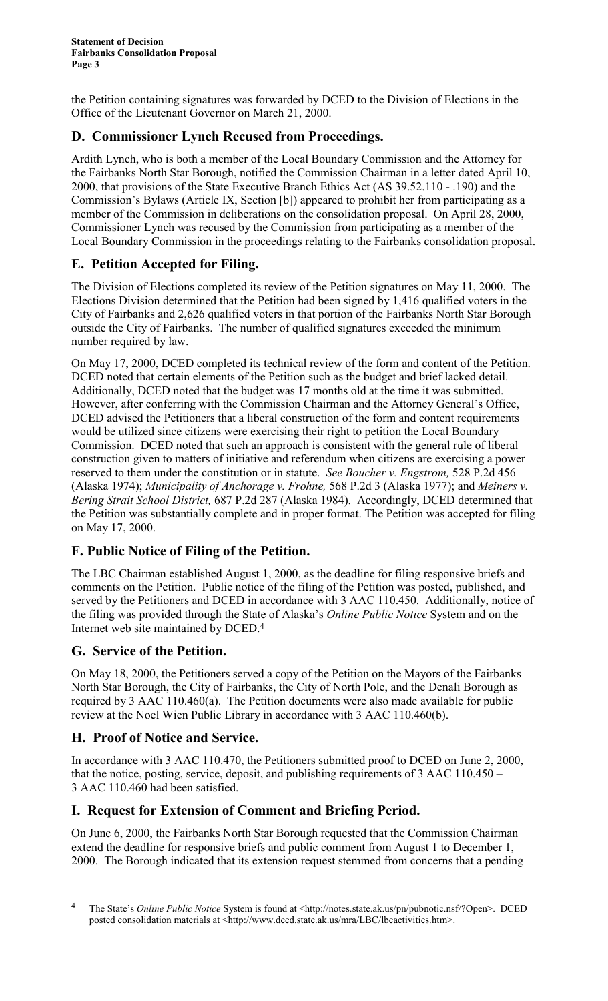the Petition containing signatures was forwarded by DCED to the Division of Elections in the Office of the Lieutenant Governor on March 21, 2000.

# **D. Commissioner Lynch Recused from Proceedings.**

Ardith Lynch, who is both a member of the Local Boundary Commission and the Attorney for the Fairbanks North Star Borough, notified the Commission Chairman in a letter dated April 10, 2000, that provisions of the State Executive Branch Ethics Act (AS 39.52.110 - .190) and the Commission's Bylaws (Article IX, Section [b]) appeared to prohibit her from participating as a member of the Commission in deliberations on the consolidation proposal. On April 28, 2000, Commissioner Lynch was recused by the Commission from participating as a member of the Local Boundary Commission in the proceedings relating to the Fairbanks consolidation proposal.

# **E. Petition Accepted for Filing.**

The Division of Elections completed its review of the Petition signatures on May 11, 2000. The Elections Division determined that the Petition had been signed by 1,416 qualified voters in the City of Fairbanks and 2,626 qualified voters in that portion of the Fairbanks North Star Borough outside the City of Fairbanks. The number of qualified signatures exceeded the minimum number required by law.

On May 17, 2000, DCED completed its technical review of the form and content of the Petition. DCED noted that certain elements of the Petition such as the budget and brief lacked detail. Additionally, DCED noted that the budget was 17 months old at the time it was submitted. However, after conferring with the Commission Chairman and the Attorney General's Office, DCED advised the Petitioners that a liberal construction of the form and content requirements would be utilized since citizens were exercising their right to petition the Local Boundary Commission. DCED noted that such an approach is consistent with the general rule of liberal construction given to matters of initiative and referendum when citizens are exercising a power reserved to them under the constitution or in statute. *See Boucher v. Engstrom,* 528 P.2d 456 (Alaska 1974); *Municipality of Anchorage v. Frohne,* 568 P.2d 3 (Alaska 1977); and *Meiners v. Bering Strait School District,* 687 P.2d 287 (Alaska 1984). Accordingly, DCED determined that the Petition was substantially complete and in proper format. The Petition was accepted for filing on May 17, 2000.

# **F. Public Notice of Filing of the Petition.**

The LBC Chairman established August 1, 2000, as the deadline for filing responsive briefs and comments on the Petition. Public notice of the filing of the Petition was posted, published, and served by the Petitioners and DCED in accordance with 3 AAC 110.450. Additionally, notice of the filing was provided through the State of Alaska's *Online Public Notice* System and on the Internet web site maintained by DCED.4

# **G. Service of the Petition.**

On May 18, 2000, the Petitioners served a copy of the Petition on the Mayors of the Fairbanks North Star Borough, the City of Fairbanks, the City of North Pole, and the Denali Borough as required by 3 AAC 110.460(a). The Petition documents were also made available for public review at the Noel Wien Public Library in accordance with 3 AAC 110.460(b).

# **H. Proof of Notice and Service.**

 $\overline{a}$ 

In accordance with 3 AAC 110.470, the Petitioners submitted proof to DCED on June 2, 2000, that the notice, posting, service, deposit, and publishing requirements of 3 AAC 110.450 – 3 AAC 110.460 had been satisfied.

# **I. Request for Extension of Comment and Briefing Period.**

On June 6, 2000, the Fairbanks North Star Borough requested that the Commission Chairman extend the deadline for responsive briefs and public comment from August 1 to December 1, 2000. The Borough indicated that its extension request stemmed from concerns that a pending

<sup>4</sup> The State's *Online Public Notice* System is found at <http://notes.state.ak.us/pn/pubnotic.nsf/?Open>. DCED posted consolidation materials at <http://www.dced.state.ak.us/mra/LBC/lbcactivities.htm>.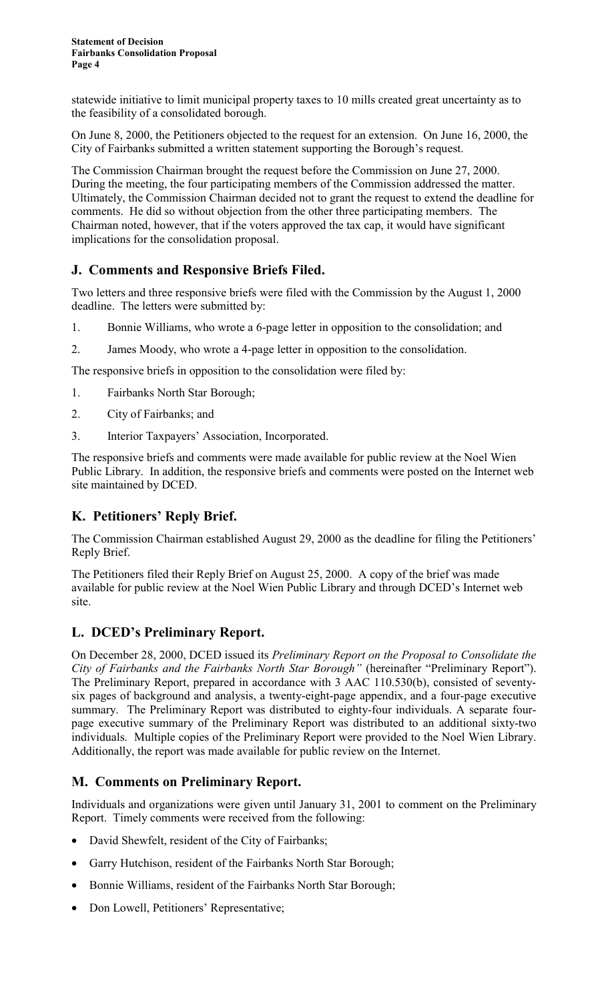statewide initiative to limit municipal property taxes to 10 mills created great uncertainty as to the feasibility of a consolidated borough.

On June 8, 2000, the Petitioners objected to the request for an extension. On June 16, 2000, the City of Fairbanks submitted a written statement supporting the Borough's request.

The Commission Chairman brought the request before the Commission on June 27, 2000. During the meeting, the four participating members of the Commission addressed the matter. Ultimately, the Commission Chairman decided not to grant the request to extend the deadline for comments. He did so without objection from the other three participating members. The Chairman noted, however, that if the voters approved the tax cap, it would have significant implications for the consolidation proposal.

# **J. Comments and Responsive Briefs Filed.**

Two letters and three responsive briefs were filed with the Commission by the August 1, 2000 deadline. The letters were submitted by:

- 1. Bonnie Williams, who wrote a 6-page letter in opposition to the consolidation; and
- 2. James Moody, who wrote a 4-page letter in opposition to the consolidation.

The responsive briefs in opposition to the consolidation were filed by:

- 1. Fairbanks North Star Borough;
- 2. City of Fairbanks; and
- 3. Interior Taxpayers' Association, Incorporated.

The responsive briefs and comments were made available for public review at the Noel Wien Public Library. In addition, the responsive briefs and comments were posted on the Internet web site maintained by DCED.

## **K. Petitioners' Reply Brief.**

The Commission Chairman established August 29, 2000 as the deadline for filing the Petitioners' Reply Brief.

The Petitioners filed their Reply Brief on August 25, 2000. A copy of the brief was made available for public review at the Noel Wien Public Library and through DCED's Internet web site.

# **L. DCED's Preliminary Report.**

On December 28, 2000, DCED issued its *Preliminary Report on the Proposal to Consolidate the City of Fairbanks and the Fairbanks North Star Borough"* (hereinafter "Preliminary Report"). The Preliminary Report, prepared in accordance with 3 AAC 110.530(b), consisted of seventysix pages of background and analysis, a twenty-eight-page appendix, and a four-page executive summary. The Preliminary Report was distributed to eighty-four individuals. A separate fourpage executive summary of the Preliminary Report was distributed to an additional sixty-two individuals. Multiple copies of the Preliminary Report were provided to the Noel Wien Library. Additionally, the report was made available for public review on the Internet.

## **M. Comments on Preliminary Report.**

Individuals and organizations were given until January 31, 2001 to comment on the Preliminary Report. Timely comments were received from the following:

- David Shewfelt, resident of the City of Fairbanks;
- Garry Hutchison, resident of the Fairbanks North Star Borough;
- Bonnie Williams, resident of the Fairbanks North Star Borough;
- Don Lowell, Petitioners' Representative;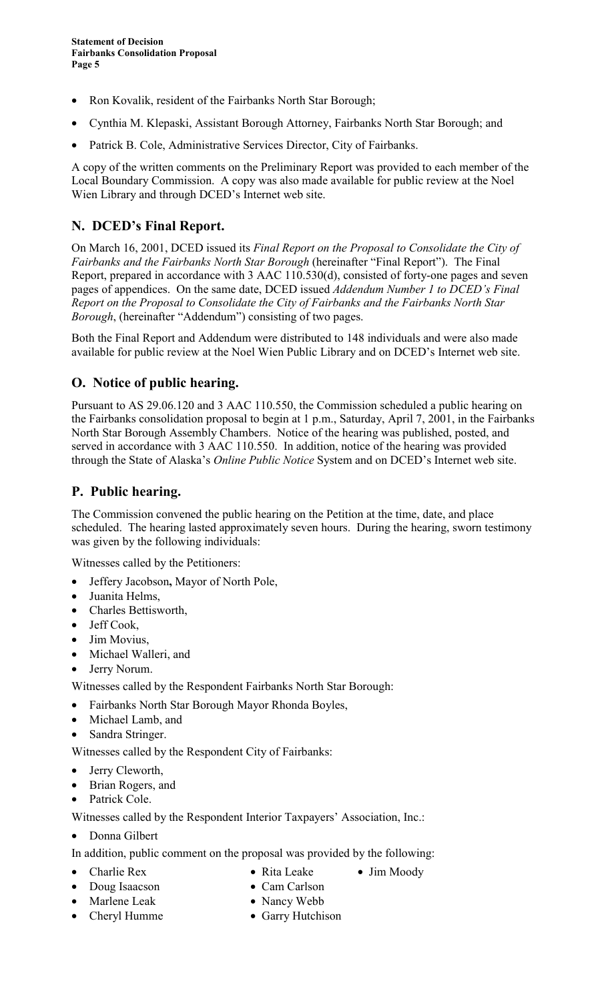- Ron Kovalik, resident of the Fairbanks North Star Borough;
- Cynthia M. Klepaski, Assistant Borough Attorney, Fairbanks North Star Borough; and
- Patrick B. Cole, Administrative Services Director, City of Fairbanks.

A copy of the written comments on the Preliminary Report was provided to each member of the Local Boundary Commission. A copy was also made available for public review at the Noel Wien Library and through DCED's Internet web site.

# **N. DCED's Final Report.**

On March 16, 2001, DCED issued its *Final Report on the Proposal to Consolidate the City of Fairbanks and the Fairbanks North Star Borough* (hereinafter "Final Report"). The Final Report, prepared in accordance with 3 AAC 110.530(d), consisted of forty-one pages and seven pages of appendices. On the same date, DCED issued *Addendum Number 1 to DCED's Final Report on the Proposal to Consolidate the City of Fairbanks and the Fairbanks North Star Borough*, (hereinafter "Addendum") consisting of two pages.

Both the Final Report and Addendum were distributed to 148 individuals and were also made available for public review at the Noel Wien Public Library and on DCED's Internet web site.

## **O. Notice of public hearing.**

Pursuant to AS 29.06.120 and 3 AAC 110.550, the Commission scheduled a public hearing on the Fairbanks consolidation proposal to begin at 1 p.m., Saturday, April 7, 2001, in the Fairbanks North Star Borough Assembly Chambers. Notice of the hearing was published, posted, and served in accordance with 3 AAC 110.550. In addition, notice of the hearing was provided through the State of Alaska's *Online Public Notice* System and on DCED's Internet web site.

# **P. Public hearing.**

The Commission convened the public hearing on the Petition at the time, date, and place scheduled. The hearing lasted approximately seven hours. During the hearing, sworn testimony was given by the following individuals:

Witnesses called by the Petitioners:

- Jeffery Jacobson**,** Mayor of North Pole,
- Juanita Helms,
- Charles Bettisworth,
- Jeff Cook,
- Jim Movius,
- Michael Walleri, and
- Jerry Norum.

Witnesses called by the Respondent Fairbanks North Star Borough:

- Fairbanks North Star Borough Mayor Rhonda Boyles,
- Michael Lamb, and
- Sandra Stringer.

Witnesses called by the Respondent City of Fairbanks:

- Jerry Cleworth,
- Brian Rogers, and
- Patrick Cole.

Witnesses called by the Respondent Interior Taxpayers' Association, Inc.:

- Donna Gilbert
- In addition, public comment on the proposal was provided by the following:
- Charlie Rex Rita Leake Jim Moody
- Doug Isaacson Cam Carlson
- Marlene Leak Nancy Webb
- -
	-
- 
- Cheryl Humme Garry Hutchison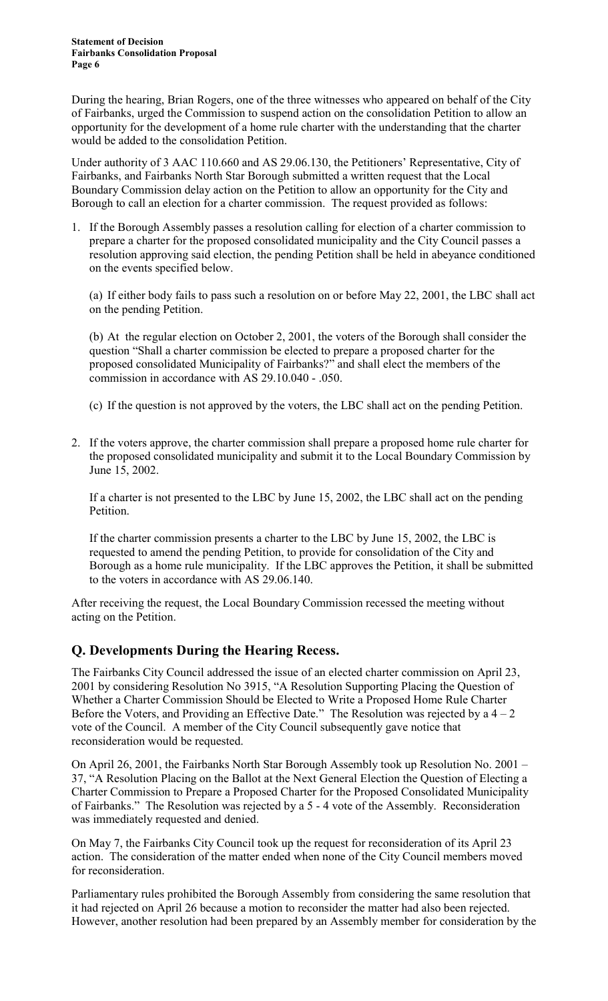During the hearing, Brian Rogers, one of the three witnesses who appeared on behalf of the City of Fairbanks, urged the Commission to suspend action on the consolidation Petition to allow an opportunity for the development of a home rule charter with the understanding that the charter would be added to the consolidation Petition.

Under authority of 3 AAC 110.660 and AS 29.06.130, the Petitioners' Representative, City of Fairbanks, and Fairbanks North Star Borough submitted a written request that the Local Boundary Commission delay action on the Petition to allow an opportunity for the City and Borough to call an election for a charter commission. The request provided as follows:

1. If the Borough Assembly passes a resolution calling for election of a charter commission to prepare a charter for the proposed consolidated municipality and the City Council passes a resolution approving said election, the pending Petition shall be held in abeyance conditioned on the events specified below.

(a) If either body fails to pass such a resolution on or before May 22, 2001, the LBC shall act on the pending Petition.

(b) At the regular election on October 2, 2001, the voters of the Borough shall consider the question "Shall a charter commission be elected to prepare a proposed charter for the proposed consolidated Municipality of Fairbanks?" and shall elect the members of the commission in accordance with AS 29.10.040 - .050.

- (c) If the question is not approved by the voters, the LBC shall act on the pending Petition.
- 2. If the voters approve, the charter commission shall prepare a proposed home rule charter for the proposed consolidated municipality and submit it to the Local Boundary Commission by June 15, 2002.

If a charter is not presented to the LBC by June 15, 2002, the LBC shall act on the pending Petition.

If the charter commission presents a charter to the LBC by June 15, 2002, the LBC is requested to amend the pending Petition, to provide for consolidation of the City and Borough as a home rule municipality. If the LBC approves the Petition, it shall be submitted to the voters in accordance with AS 29.06.140.

After receiving the request, the Local Boundary Commission recessed the meeting without acting on the Petition.

## **Q. Developments During the Hearing Recess.**

The Fairbanks City Council addressed the issue of an elected charter commission on April 23, 2001 by considering Resolution No 3915, "A Resolution Supporting Placing the Question of Whether a Charter Commission Should be Elected to Write a Proposed Home Rule Charter Before the Voters, and Providing an Effective Date." The Resolution was rejected by a  $4 - 2$ vote of the Council. A member of the City Council subsequently gave notice that reconsideration would be requested.

On April 26, 2001, the Fairbanks North Star Borough Assembly took up Resolution No. 2001 – 37, "A Resolution Placing on the Ballot at the Next General Election the Question of Electing a Charter Commission to Prepare a Proposed Charter for the Proposed Consolidated Municipality of Fairbanks." The Resolution was rejected by a 5 - 4 vote of the Assembly. Reconsideration was immediately requested and denied.

On May 7, the Fairbanks City Council took up the request for reconsideration of its April 23 action. The consideration of the matter ended when none of the City Council members moved for reconsideration.

Parliamentary rules prohibited the Borough Assembly from considering the same resolution that it had rejected on April 26 because a motion to reconsider the matter had also been rejected. However, another resolution had been prepared by an Assembly member for consideration by the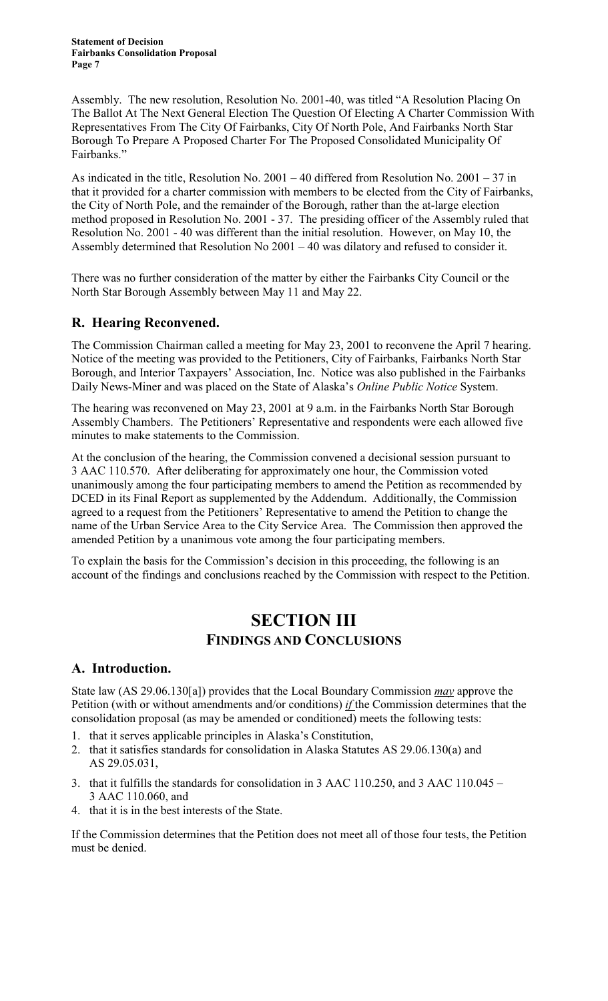Assembly. The new resolution, Resolution No. 2001-40, was titled "A Resolution Placing On The Ballot At The Next General Election The Question Of Electing A Charter Commission With Representatives From The City Of Fairbanks, City Of North Pole, And Fairbanks North Star Borough To Prepare A Proposed Charter For The Proposed Consolidated Municipality Of Fairbanks."

As indicated in the title, Resolution No. 2001 – 40 differed from Resolution No. 2001 – 37 in that it provided for a charter commission with members to be elected from the City of Fairbanks, the City of North Pole, and the remainder of the Borough, rather than the at-large election method proposed in Resolution No. 2001 - 37. The presiding officer of the Assembly ruled that Resolution No. 2001 - 40 was different than the initial resolution. However, on May 10, the Assembly determined that Resolution No 2001 – 40 was dilatory and refused to consider it.

There was no further consideration of the matter by either the Fairbanks City Council or the North Star Borough Assembly between May 11 and May 22.

# **R. Hearing Reconvened.**

The Commission Chairman called a meeting for May 23, 2001 to reconvene the April 7 hearing. Notice of the meeting was provided to the Petitioners, City of Fairbanks, Fairbanks North Star Borough, and Interior Taxpayers' Association, Inc. Notice was also published in the Fairbanks Daily News-Miner and was placed on the State of Alaska's *Online Public Notice* System.

The hearing was reconvened on May 23, 2001 at 9 a.m. in the Fairbanks North Star Borough Assembly Chambers. The Petitioners' Representative and respondents were each allowed five minutes to make statements to the Commission.

At the conclusion of the hearing, the Commission convened a decisional session pursuant to 3 AAC 110.570. After deliberating for approximately one hour, the Commission voted unanimously among the four participating members to amend the Petition as recommended by DCED in its Final Report as supplemented by the Addendum. Additionally, the Commission agreed to a request from the Petitioners' Representative to amend the Petition to change the name of the Urban Service Area to the City Service Area. The Commission then approved the amended Petition by a unanimous vote among the four participating members.

To explain the basis for the Commission's decision in this proceeding, the following is an account of the findings and conclusions reached by the Commission with respect to the Petition.

# **SECTION III FINDINGS AND CONCLUSIONS**

## **A. Introduction.**

State law (AS 29.06.130[a]) provides that the Local Boundary Commission *may* approve the Petition (with or without amendments and/or conditions) *if* the Commission determines that the consolidation proposal (as may be amended or conditioned) meets the following tests:

- 1. that it serves applicable principles in Alaska's Constitution,
- 2. that it satisfies standards for consolidation in Alaska Statutes AS 29.06.130(a) and AS 29.05.031,
- 3. that it fulfills the standards for consolidation in 3 AAC 110.250, and 3 AAC 110.045 3 AAC 110.060, and
- 4. that it is in the best interests of the State.

If the Commission determines that the Petition does not meet all of those four tests, the Petition must be denied.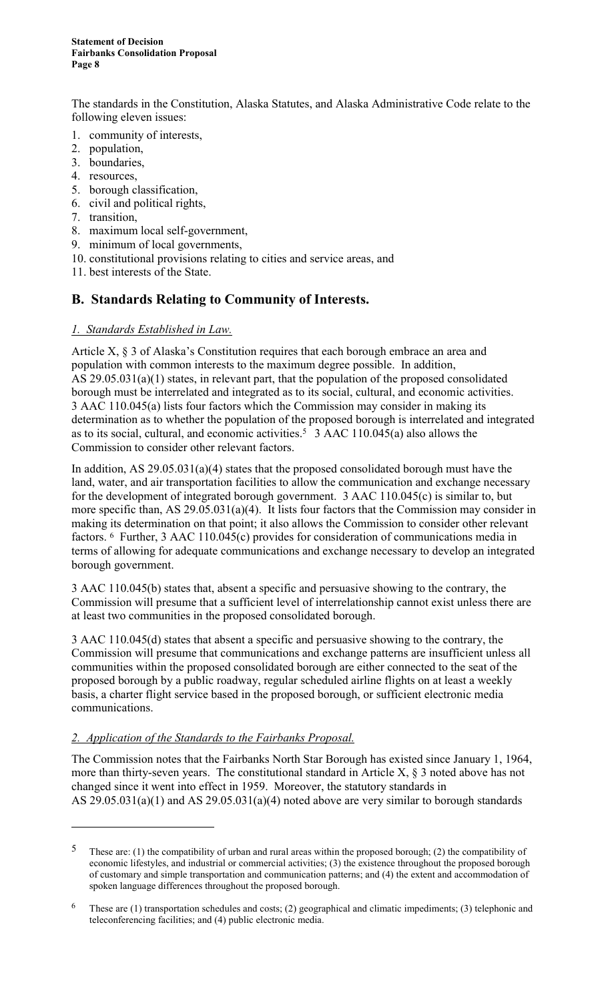The standards in the Constitution, Alaska Statutes, and Alaska Administrative Code relate to the following eleven issues:

- 1. community of interests,
- 2. population,
- 3. boundaries,
- 4. resources,
- 5. borough classification,
- 6. civil and political rights,
- 7. transition,

 $\overline{a}$ 

- 8. maximum local self-government,
- 9. minimum of local governments,
- 10. constitutional provisions relating to cities and service areas, and
- 11. best interests of the State.

#### **B. Standards Relating to Community of Interests.**

#### *1. Standards Established in Law.*

Article X, § 3 of Alaska's Constitution requires that each borough embrace an area and population with common interests to the maximum degree possible. In addition, AS 29.05.031(a)(1) states, in relevant part, that the population of the proposed consolidated borough must be interrelated and integrated as to its social, cultural, and economic activities. 3 AAC 110.045(a) lists four factors which the Commission may consider in making its determination as to whether the population of the proposed borough is interrelated and integrated as to its social, cultural, and economic activities.5 3 AAC 110.045(a) also allows the Commission to consider other relevant factors.

In addition, AS 29.05.031(a)(4) states that the proposed consolidated borough must have the land, water, and air transportation facilities to allow the communication and exchange necessary for the development of integrated borough government. 3 AAC 110.045(c) is similar to, but more specific than, AS 29.05.031(a)(4). It lists four factors that the Commission may consider in making its determination on that point; it also allows the Commission to consider other relevant factors. 6 Further, 3 AAC 110.045(c) provides for consideration of communications media in terms of allowing for adequate communications and exchange necessary to develop an integrated borough government.

3 AAC 110.045(b) states that, absent a specific and persuasive showing to the contrary, the Commission will presume that a sufficient level of interrelationship cannot exist unless there are at least two communities in the proposed consolidated borough.

3 AAC 110.045(d) states that absent a specific and persuasive showing to the contrary, the Commission will presume that communications and exchange patterns are insufficient unless all communities within the proposed consolidated borough are either connected to the seat of the proposed borough by a public roadway, regular scheduled airline flights on at least a weekly basis, a charter flight service based in the proposed borough, or sufficient electronic media communications.

#### *2. Application of the Standards to the Fairbanks Proposal.*

The Commission notes that the Fairbanks North Star Borough has existed since January 1, 1964, more than thirty-seven years. The constitutional standard in Article X, § 3 noted above has not changed since it went into effect in 1959. Moreover, the statutory standards in AS  $29.05.031(a)(1)$  and AS  $29.05.031(a)(4)$  noted above are very similar to borough standards

<sup>5</sup> These are: (1) the compatibility of urban and rural areas within the proposed borough; (2) the compatibility of economic lifestyles, and industrial or commercial activities; (3) the existence throughout the proposed borough of customary and simple transportation and communication patterns; and (4) the extent and accommodation of spoken language differences throughout the proposed borough.

<sup>&</sup>lt;sup>6</sup> These are (1) transportation schedules and costs; (2) geographical and climatic impediments; (3) telephonic and teleconferencing facilities; and (4) public electronic media.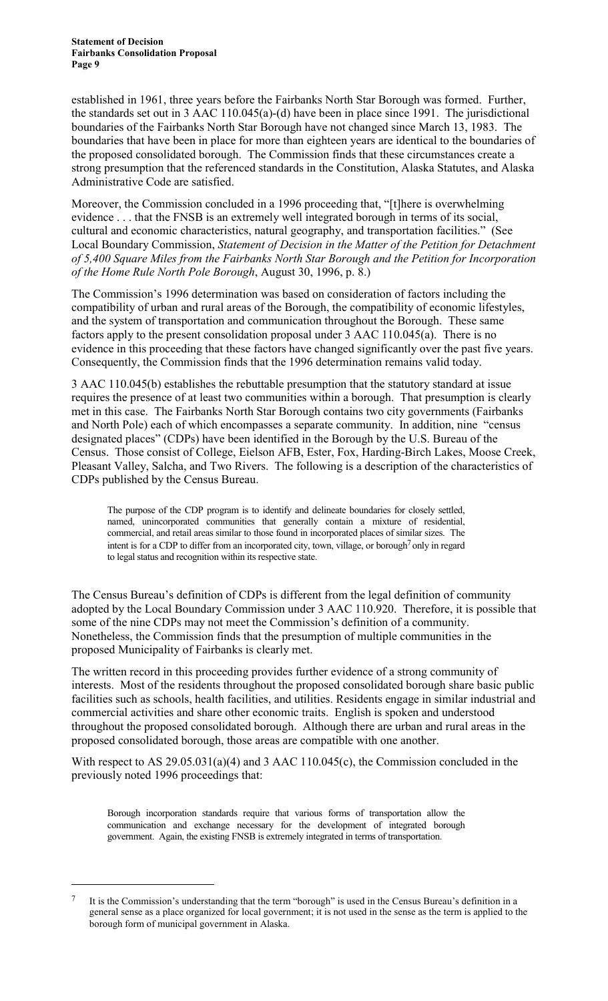established in 1961, three years before the Fairbanks North Star Borough was formed. Further, the standards set out in 3 AAC 110.045(a)-(d) have been in place since 1991. The jurisdictional boundaries of the Fairbanks North Star Borough have not changed since March 13, 1983. The boundaries that have been in place for more than eighteen years are identical to the boundaries of the proposed consolidated borough. The Commission finds that these circumstances create a strong presumption that the referenced standards in the Constitution, Alaska Statutes, and Alaska Administrative Code are satisfied.

Moreover, the Commission concluded in a 1996 proceeding that, "[t]here is overwhelming evidence . . . that the FNSB is an extremely well integrated borough in terms of its social, cultural and economic characteristics, natural geography, and transportation facilities." (See Local Boundary Commission, *Statement of Decision in the Matter of the Petition for Detachment of 5,400 Square Miles from the Fairbanks North Star Borough and the Petition for Incorporation of the Home Rule North Pole Borough*, August 30, 1996, p. 8.)

The Commission's 1996 determination was based on consideration of factors including the compatibility of urban and rural areas of the Borough, the compatibility of economic lifestyles, and the system of transportation and communication throughout the Borough. These same factors apply to the present consolidation proposal under 3 AAC 110.045(a). There is no evidence in this proceeding that these factors have changed significantly over the past five years. Consequently, the Commission finds that the 1996 determination remains valid today.

3 AAC 110.045(b) establishes the rebuttable presumption that the statutory standard at issue requires the presence of at least two communities within a borough. That presumption is clearly met in this case. The Fairbanks North Star Borough contains two city governments (Fairbanks and North Pole) each of which encompasses a separate community. In addition, nine "census designated places" (CDPs) have been identified in the Borough by the U.S. Bureau of the Census. Those consist of College, Eielson AFB, Ester, Fox, Harding-Birch Lakes, Moose Creek, Pleasant Valley, Salcha, and Two Rivers. The following is a description of the characteristics of CDPs published by the Census Bureau.

The purpose of the CDP program is to identify and delineate boundaries for closely settled, named, unincorporated communities that generally contain a mixture of residential, commercial, and retail areas similar to those found in incorporated places of similar sizes. The intent is for a CDP to differ from an incorporated city, town, village, or borough<sup>7</sup> only in regard to legal status and recognition within its respective state.

The Census Bureau's definition of CDPs is different from the legal definition of community adopted by the Local Boundary Commission under 3 AAC 110.920. Therefore, it is possible that some of the nine CDPs may not meet the Commission's definition of a community. Nonetheless, the Commission finds that the presumption of multiple communities in the proposed Municipality of Fairbanks is clearly met.

The written record in this proceeding provides further evidence of a strong community of interests. Most of the residents throughout the proposed consolidated borough share basic public facilities such as schools, health facilities, and utilities. Residents engage in similar industrial and commercial activities and share other economic traits. English is spoken and understood throughout the proposed consolidated borough. Although there are urban and rural areas in the proposed consolidated borough, those areas are compatible with one another.

With respect to AS 29.05.031(a)(4) and 3 AAC 110.045(c), the Commission concluded in the previously noted 1996 proceedings that:

Borough incorporation standards require that various forms of transportation allow the communication and exchange necessary for the development of integrated borough government. Again, the existing FNSB is extremely integrated in terms of transportation.

 $\overline{a}$ 

It is the Commission's understanding that the term "borough" is used in the Census Bureau's definition in a general sense as a place organized for local government; it is not used in the sense as the term is applied to the borough form of municipal government in Alaska.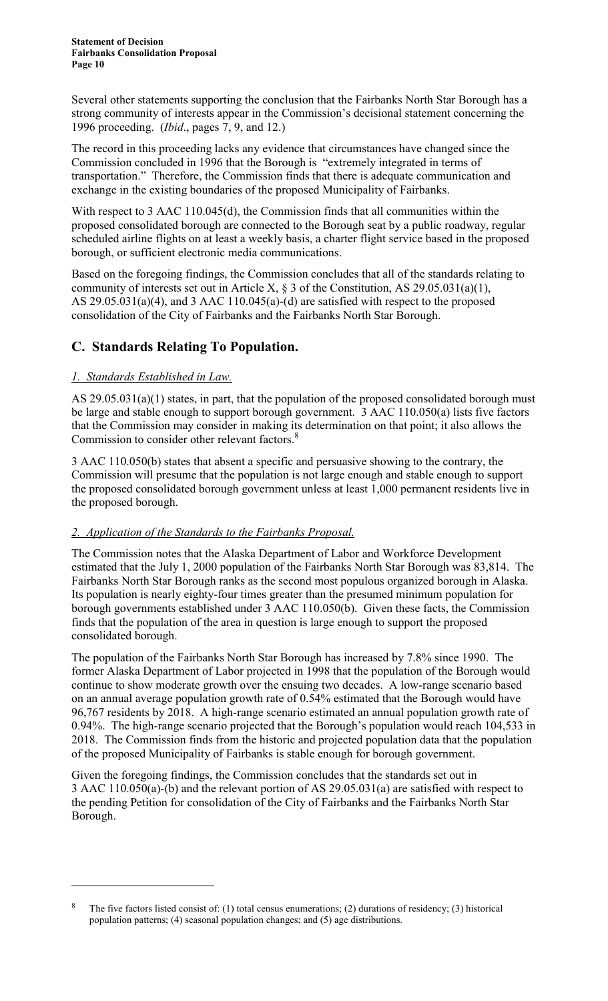Several other statements supporting the conclusion that the Fairbanks North Star Borough has a strong community of interests appear in the Commission's decisional statement concerning the 1996 proceeding. (*Ibid*., pages 7, 9, and 12.)

The record in this proceeding lacks any evidence that circumstances have changed since the Commission concluded in 1996 that the Borough is "extremely integrated in terms of transportation." Therefore, the Commission finds that there is adequate communication and exchange in the existing boundaries of the proposed Municipality of Fairbanks.

With respect to 3 AAC 110.045(d), the Commission finds that all communities within the proposed consolidated borough are connected to the Borough seat by a public roadway, regular scheduled airline flights on at least a weekly basis, a charter flight service based in the proposed borough, or sufficient electronic media communications.

Based on the foregoing findings, the Commission concludes that all of the standards relating to community of interests set out in Article X,  $\S 3$  of the Constitution, AS 29.05.031(a)(1), AS 29.05.031(a)(4), and 3 AAC 110.045(a)-(d) are satisfied with respect to the proposed consolidation of the City of Fairbanks and the Fairbanks North Star Borough.

# **C. Standards Relating To Population.**

## *1. Standards Established in Law.*

 $\overline{a}$ 

AS 29.05.031(a)(1) states, in part, that the population of the proposed consolidated borough must be large and stable enough to support borough government. 3 AAC 110.050(a) lists five factors that the Commission may consider in making its determination on that point; it also allows the Commission to consider other relevant factors.<sup>8</sup>

3 AAC 110.050(b) states that absent a specific and persuasive showing to the contrary, the Commission will presume that the population is not large enough and stable enough to support the proposed consolidated borough government unless at least 1,000 permanent residents live in the proposed borough.

#### *2. Application of the Standards to the Fairbanks Proposal.*

The Commission notes that the Alaska Department of Labor and Workforce Development estimated that the July 1, 2000 population of the Fairbanks North Star Borough was 83,814. The Fairbanks North Star Borough ranks as the second most populous organized borough in Alaska. Its population is nearly eighty-four times greater than the presumed minimum population for borough governments established under 3 AAC 110.050(b). Given these facts, the Commission finds that the population of the area in question is large enough to support the proposed consolidated borough.

The population of the Fairbanks North Star Borough has increased by 7.8% since 1990. The former Alaska Department of Labor projected in 1998 that the population of the Borough would continue to show moderate growth over the ensuing two decades. A low-range scenario based on an annual average population growth rate of 0.54% estimated that the Borough would have 96,767 residents by 2018. A high-range scenario estimated an annual population growth rate of 0.94%. The high-range scenario projected that the Borough's population would reach 104,533 in 2018. The Commission finds from the historic and projected population data that the population of the proposed Municipality of Fairbanks is stable enough for borough government.

Given the foregoing findings, the Commission concludes that the standards set out in 3 AAC 110.050(a)-(b) and the relevant portion of AS 29.05.031(a) are satisfied with respect to the pending Petition for consolidation of the City of Fairbanks and the Fairbanks North Star Borough.

<sup>8</sup> The five factors listed consist of: (1) total census enumerations; (2) durations of residency; (3) historical population patterns; (4) seasonal population changes; and (5) age distributions.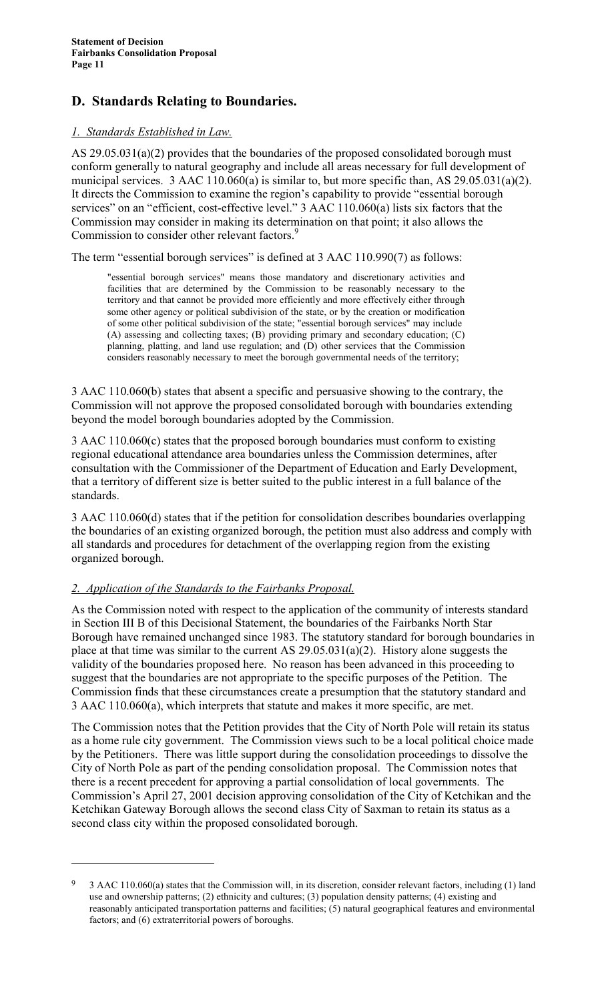# **D. Standards Relating to Boundaries.**

#### *1. Standards Established in Law.*

AS 29.05.031(a)(2) provides that the boundaries of the proposed consolidated borough must conform generally to natural geography and include all areas necessary for full development of municipal services. 3 AAC 110.060(a) is similar to, but more specific than, AS 29.05.031(a)(2). It directs the Commission to examine the region's capability to provide "essential borough services" on an "efficient, cost-effective level." 3 AAC 110.060(a) lists six factors that the Commission may consider in making its determination on that point; it also allows the Commission to consider other relevant factors.<sup>9</sup>

The term "essential borough services" is defined at 3 AAC 110.990(7) as follows:

"essential borough services" means those mandatory and discretionary activities and facilities that are determined by the Commission to be reasonably necessary to the territory and that cannot be provided more efficiently and more effectively either through some other agency or political subdivision of the state, or by the creation or modification of some other political subdivision of the state; "essential borough services" may include (A) assessing and collecting taxes; (B) providing primary and secondary education; (C) planning, platting, and land use regulation; and (D) other services that the Commission considers reasonably necessary to meet the borough governmental needs of the territory;

3 AAC 110.060(b) states that absent a specific and persuasive showing to the contrary, the Commission will not approve the proposed consolidated borough with boundaries extending beyond the model borough boundaries adopted by the Commission.

3 AAC 110.060(c) states that the proposed borough boundaries must conform to existing regional educational attendance area boundaries unless the Commission determines, after consultation with the Commissioner of the Department of Education and Early Development, that a territory of different size is better suited to the public interest in a full balance of the standards.

3 AAC 110.060(d) states that if the petition for consolidation describes boundaries overlapping the boundaries of an existing organized borough, the petition must also address and comply with all standards and procedures for detachment of the overlapping region from the existing organized borough.

#### *2. Application of the Standards to the Fairbanks Proposal.*

 $\overline{a}$ 

As the Commission noted with respect to the application of the community of interests standard in Section III B of this Decisional Statement, the boundaries of the Fairbanks North Star Borough have remained unchanged since 1983. The statutory standard for borough boundaries in place at that time was similar to the current AS 29.05.031(a)(2). History alone suggests the validity of the boundaries proposed here. No reason has been advanced in this proceeding to suggest that the boundaries are not appropriate to the specific purposes of the Petition. The Commission finds that these circumstances create a presumption that the statutory standard and 3 AAC 110.060(a), which interprets that statute and makes it more specific, are met.

The Commission notes that the Petition provides that the City of North Pole will retain its status as a home rule city government. The Commission views such to be a local political choice made by the Petitioners. There was little support during the consolidation proceedings to dissolve the City of North Pole as part of the pending consolidation proposal. The Commission notes that there is a recent precedent for approving a partial consolidation of local governments. The Commission's April 27, 2001 decision approving consolidation of the City of Ketchikan and the Ketchikan Gateway Borough allows the second class City of Saxman to retain its status as a second class city within the proposed consolidated borough.

<sup>9</sup> 3 AAC 110.060(a) states that the Commission will, in its discretion, consider relevant factors, including (1) land use and ownership patterns; (2) ethnicity and cultures; (3) population density patterns; (4) existing and reasonably anticipated transportation patterns and facilities; (5) natural geographical features and environmental factors; and (6) extraterritorial powers of boroughs.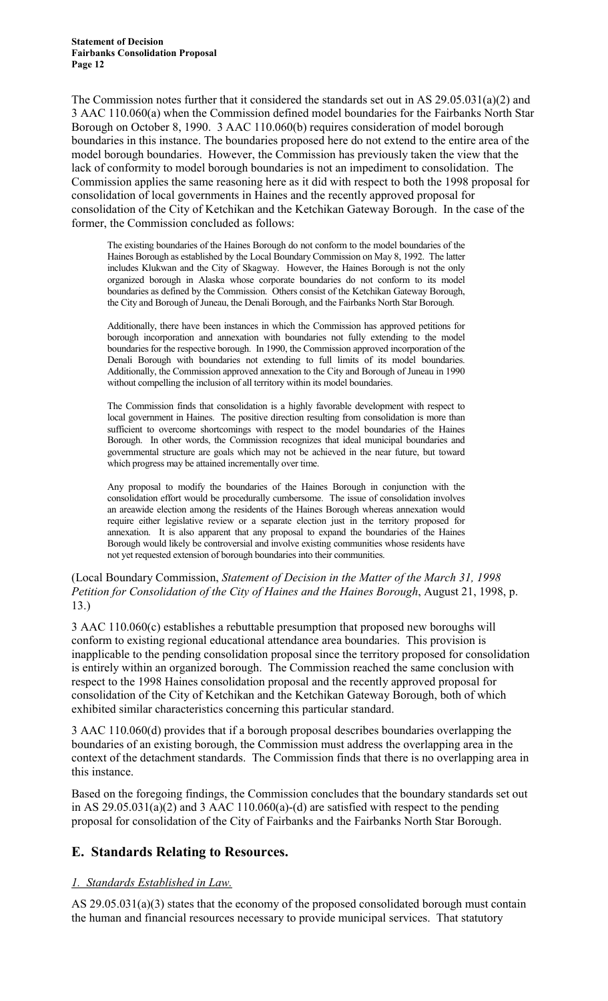The Commission notes further that it considered the standards set out in AS 29.05.031(a)(2) and 3 AAC 110.060(a) when the Commission defined model boundaries for the Fairbanks North Star Borough on October 8, 1990. 3 AAC 110.060(b) requires consideration of model borough boundaries in this instance. The boundaries proposed here do not extend to the entire area of the model borough boundaries. However, the Commission has previously taken the view that the lack of conformity to model borough boundaries is not an impediment to consolidation. The Commission applies the same reasoning here as it did with respect to both the 1998 proposal for consolidation of local governments in Haines and the recently approved proposal for consolidation of the City of Ketchikan and the Ketchikan Gateway Borough. In the case of the former, the Commission concluded as follows:

The existing boundaries of the Haines Borough do not conform to the model boundaries of the Haines Borough as established by the Local Boundary Commission on May 8, 1992. The latter includes Klukwan and the City of Skagway. However, the Haines Borough is not the only organized borough in Alaska whose corporate boundaries do not conform to its model boundaries as defined by the Commission. Others consist of the Ketchikan Gateway Borough, the City and Borough of Juneau, the Denali Borough, and the Fairbanks North Star Borough.

Additionally, there have been instances in which the Commission has approved petitions for borough incorporation and annexation with boundaries not fully extending to the model boundaries for the respective borough. In 1990, the Commission approved incorporation of the Denali Borough with boundaries not extending to full limits of its model boundaries. Additionally, the Commission approved annexation to the City and Borough of Juneau in 1990 without compelling the inclusion of all territory within its model boundaries.

The Commission finds that consolidation is a highly favorable development with respect to local government in Haines. The positive direction resulting from consolidation is more than sufficient to overcome shortcomings with respect to the model boundaries of the Haines Borough. In other words, the Commission recognizes that ideal municipal boundaries and governmental structure are goals which may not be achieved in the near future, but toward which progress may be attained incrementally over time.

Any proposal to modify the boundaries of the Haines Borough in conjunction with the consolidation effort would be procedurally cumbersome. The issue of consolidation involves an areawide election among the residents of the Haines Borough whereas annexation would require either legislative review or a separate election just in the territory proposed for annexation. It is also apparent that any proposal to expand the boundaries of the Haines Borough would likely be controversial and involve existing communities whose residents have not yet requested extension of borough boundaries into their communities.

(Local Boundary Commission, *Statement of Decision in the Matter of the March 31, 1998 Petition for Consolidation of the City of Haines and the Haines Borough*, August 21, 1998, p. 13.)

3 AAC 110.060(c) establishes a rebuttable presumption that proposed new boroughs will conform to existing regional educational attendance area boundaries. This provision is inapplicable to the pending consolidation proposal since the territory proposed for consolidation is entirely within an organized borough. The Commission reached the same conclusion with respect to the 1998 Haines consolidation proposal and the recently approved proposal for consolidation of the City of Ketchikan and the Ketchikan Gateway Borough, both of which exhibited similar characteristics concerning this particular standard.

3 AAC 110.060(d) provides that if a borough proposal describes boundaries overlapping the boundaries of an existing borough, the Commission must address the overlapping area in the context of the detachment standards. The Commission finds that there is no overlapping area in this instance.

Based on the foregoing findings, the Commission concludes that the boundary standards set out in AS  $29.05.031(a)(2)$  and 3 AAC 110.060(a)-(d) are satisfied with respect to the pending proposal for consolidation of the City of Fairbanks and the Fairbanks North Star Borough.

## **E. Standards Relating to Resources.**

## *1. Standards Established in Law.*

AS 29.05.031(a)(3) states that the economy of the proposed consolidated borough must contain the human and financial resources necessary to provide municipal services. That statutory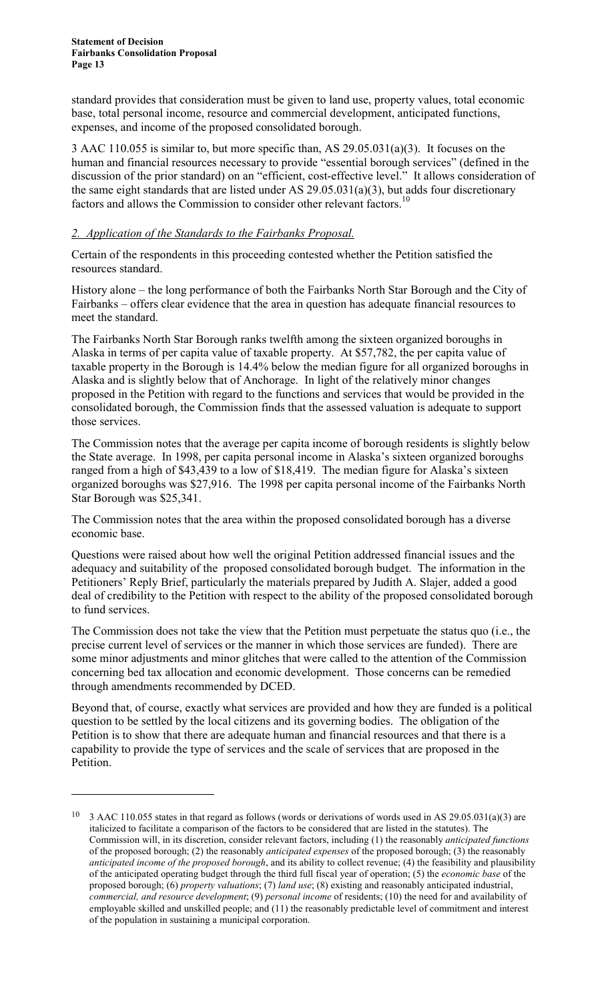$\overline{a}$ 

standard provides that consideration must be given to land use, property values, total economic base, total personal income, resource and commercial development, anticipated functions, expenses, and income of the proposed consolidated borough.

3 AAC 110.055 is similar to, but more specific than, AS 29.05.031(a)(3). It focuses on the human and financial resources necessary to provide "essential borough services" (defined in the discussion of the prior standard) on an "efficient, cost-effective level." It allows consideration of the same eight standards that are listed under AS 29.05.031(a)(3), but adds four discretionary factors and allows the Commission to consider other relevant factors.<sup>10</sup>

#### *2. Application of the Standards to the Fairbanks Proposal.*

Certain of the respondents in this proceeding contested whether the Petition satisfied the resources standard.

History alone – the long performance of both the Fairbanks North Star Borough and the City of Fairbanks – offers clear evidence that the area in question has adequate financial resources to meet the standard.

The Fairbanks North Star Borough ranks twelfth among the sixteen organized boroughs in Alaska in terms of per capita value of taxable property. At \$57,782, the per capita value of taxable property in the Borough is 14.4% below the median figure for all organized boroughs in Alaska and is slightly below that of Anchorage. In light of the relatively minor changes proposed in the Petition with regard to the functions and services that would be provided in the consolidated borough, the Commission finds that the assessed valuation is adequate to support those services.

The Commission notes that the average per capita income of borough residents is slightly below the State average. In 1998, per capita personal income in Alaska's sixteen organized boroughs ranged from a high of \$43,439 to a low of \$18,419. The median figure for Alaska's sixteen organized boroughs was \$27,916. The 1998 per capita personal income of the Fairbanks North Star Borough was \$25,341.

The Commission notes that the area within the proposed consolidated borough has a diverse economic base.

Questions were raised about how well the original Petition addressed financial issues and the adequacy and suitability of the proposed consolidated borough budget. The information in the Petitioners' Reply Brief, particularly the materials prepared by Judith A. Slajer, added a good deal of credibility to the Petition with respect to the ability of the proposed consolidated borough to fund services.

The Commission does not take the view that the Petition must perpetuate the status quo (i.e., the precise current level of services or the manner in which those services are funded). There are some minor adjustments and minor glitches that were called to the attention of the Commission concerning bed tax allocation and economic development. Those concerns can be remedied through amendments recommended by DCED.

Beyond that, of course, exactly what services are provided and how they are funded is a political question to be settled by the local citizens and its governing bodies. The obligation of the Petition is to show that there are adequate human and financial resources and that there is a capability to provide the type of services and the scale of services that are proposed in the Petition.

<sup>&</sup>lt;sup>10</sup> 3 AAC 110.055 states in that regard as follows (words or derivations of words used in AS 29.05.031(a)(3) are italicized to facilitate a comparison of the factors to be considered that are listed in the statutes). The Commission will, in its discretion, consider relevant factors, including (1) the reasonably *anticipated functions* of the proposed borough; (2) the reasonably *anticipated expenses* of the proposed borough; (3) the reasonably *anticipated income of the proposed borough*, and its ability to collect revenue; (4) the feasibility and plausibility of the anticipated operating budget through the third full fiscal year of operation; (5) the *economic base* of the proposed borough; (6) *property valuations*; (7) *land use*; (8) existing and reasonably anticipated industrial, *commercial, and resource development*; (9) *personal income* of residents; (10) the need for and availability of employable skilled and unskilled people; and (11) the reasonably predictable level of commitment and interest of the population in sustaining a municipal corporation.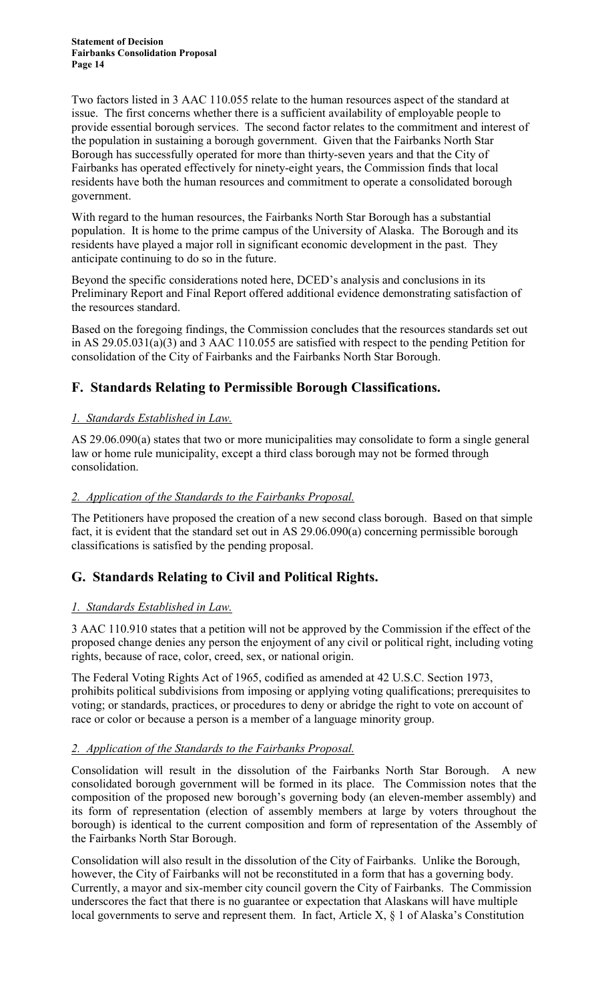Two factors listed in 3 AAC 110.055 relate to the human resources aspect of the standard at issue. The first concerns whether there is a sufficient availability of employable people to provide essential borough services. The second factor relates to the commitment and interest of the population in sustaining a borough government. Given that the Fairbanks North Star Borough has successfully operated for more than thirty-seven years and that the City of Fairbanks has operated effectively for ninety-eight years, the Commission finds that local residents have both the human resources and commitment to operate a consolidated borough government.

With regard to the human resources, the Fairbanks North Star Borough has a substantial population. It is home to the prime campus of the University of Alaska. The Borough and its residents have played a major roll in significant economic development in the past. They anticipate continuing to do so in the future.

Beyond the specific considerations noted here, DCED's analysis and conclusions in its Preliminary Report and Final Report offered additional evidence demonstrating satisfaction of the resources standard.

Based on the foregoing findings, the Commission concludes that the resources standards set out in AS 29.05.031(a)(3) and 3 AAC 110.055 are satisfied with respect to the pending Petition for consolidation of the City of Fairbanks and the Fairbanks North Star Borough.

# **F. Standards Relating to Permissible Borough Classifications.**

#### *1. Standards Established in Law.*

AS 29.06.090(a) states that two or more municipalities may consolidate to form a single general law or home rule municipality, except a third class borough may not be formed through consolidation.

#### *2. Application of the Standards to the Fairbanks Proposal.*

The Petitioners have proposed the creation of a new second class borough. Based on that simple fact, it is evident that the standard set out in AS 29.06.090(a) concerning permissible borough classifications is satisfied by the pending proposal.

# **G. Standards Relating to Civil and Political Rights.**

## *1. Standards Established in Law.*

3 AAC 110.910 states that a petition will not be approved by the Commission if the effect of the proposed change denies any person the enjoyment of any civil or political right, including voting rights, because of race, color, creed, sex, or national origin.

The Federal Voting Rights Act of 1965, codified as amended at 42 U.S.C. Section 1973, prohibits political subdivisions from imposing or applying voting qualifications; prerequisites to voting; or standards, practices, or procedures to deny or abridge the right to vote on account of race or color or because a person is a member of a language minority group.

#### *2. Application of the Standards to the Fairbanks Proposal.*

Consolidation will result in the dissolution of the Fairbanks North Star Borough. A new consolidated borough government will be formed in its place. The Commission notes that the composition of the proposed new borough's governing body (an eleven-member assembly) and its form of representation (election of assembly members at large by voters throughout the borough) is identical to the current composition and form of representation of the Assembly of the Fairbanks North Star Borough.

Consolidation will also result in the dissolution of the City of Fairbanks. Unlike the Borough, however, the City of Fairbanks will not be reconstituted in a form that has a governing body. Currently, a mayor and six-member city council govern the City of Fairbanks. The Commission underscores the fact that there is no guarantee or expectation that Alaskans will have multiple local governments to serve and represent them. In fact, Article X, § 1 of Alaska's Constitution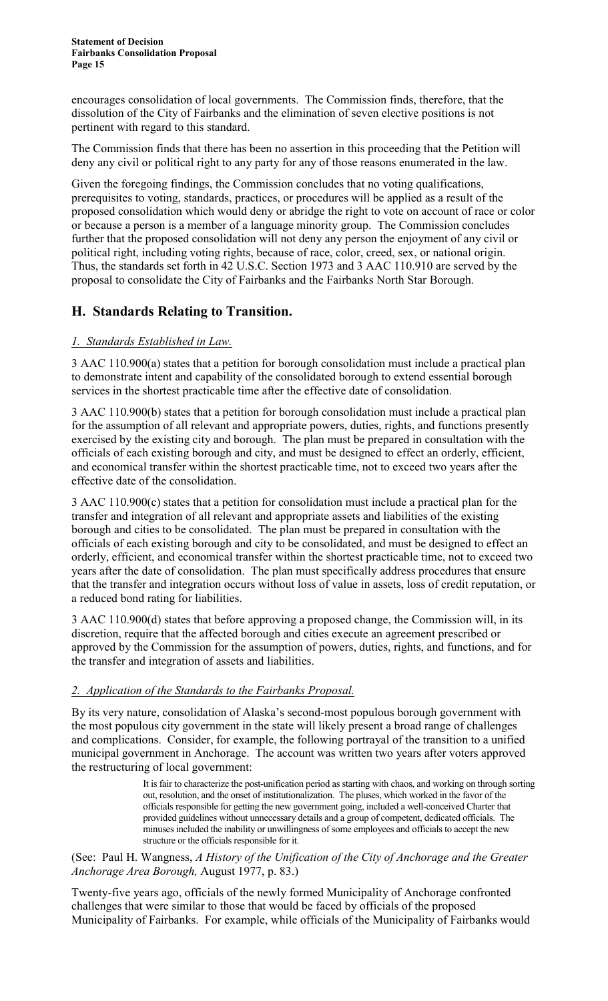encourages consolidation of local governments. The Commission finds, therefore, that the dissolution of the City of Fairbanks and the elimination of seven elective positions is not pertinent with regard to this standard.

The Commission finds that there has been no assertion in this proceeding that the Petition will deny any civil or political right to any party for any of those reasons enumerated in the law.

Given the foregoing findings, the Commission concludes that no voting qualifications, prerequisites to voting, standards, practices, or procedures will be applied as a result of the proposed consolidation which would deny or abridge the right to vote on account of race or color or because a person is a member of a language minority group. The Commission concludes further that the proposed consolidation will not deny any person the enjoyment of any civil or political right, including voting rights, because of race, color, creed, sex, or national origin. Thus, the standards set forth in 42 U.S.C. Section 1973 and 3 AAC 110.910 are served by the proposal to consolidate the City of Fairbanks and the Fairbanks North Star Borough.

# **H. Standards Relating to Transition.**

#### *1. Standards Established in Law.*

3 AAC 110.900(a) states that a petition for borough consolidation must include a practical plan to demonstrate intent and capability of the consolidated borough to extend essential borough services in the shortest practicable time after the effective date of consolidation.

3 AAC 110.900(b) states that a petition for borough consolidation must include a practical plan for the assumption of all relevant and appropriate powers, duties, rights, and functions presently exercised by the existing city and borough. The plan must be prepared in consultation with the officials of each existing borough and city, and must be designed to effect an orderly, efficient, and economical transfer within the shortest practicable time, not to exceed two years after the effective date of the consolidation.

3 AAC 110.900(c) states that a petition for consolidation must include a practical plan for the transfer and integration of all relevant and appropriate assets and liabilities of the existing borough and cities to be consolidated. The plan must be prepared in consultation with the officials of each existing borough and city to be consolidated, and must be designed to effect an orderly, efficient, and economical transfer within the shortest practicable time, not to exceed two years after the date of consolidation. The plan must specifically address procedures that ensure that the transfer and integration occurs without loss of value in assets, loss of credit reputation, or a reduced bond rating for liabilities.

3 AAC 110.900(d) states that before approving a proposed change, the Commission will, in its discretion, require that the affected borough and cities execute an agreement prescribed or approved by the Commission for the assumption of powers, duties, rights, and functions, and for the transfer and integration of assets and liabilities.

#### *2. Application of the Standards to the Fairbanks Proposal.*

By its very nature, consolidation of Alaska's second-most populous borough government with the most populous city government in the state will likely present a broad range of challenges and complications. Consider, for example, the following portrayal of the transition to a unified municipal government in Anchorage. The account was written two years after voters approved the restructuring of local government:

> It is fair to characterize the post-unification period as starting with chaos, and working on through sorting out, resolution, and the onset of institutionalization. The pluses, which worked in the favor of the officials responsible for getting the new government going, included a well-conceived Charter that provided guidelines without unnecessary details and a group of competent, dedicated officials. The minuses included the inability or unwillingness of some employees and officials to accept the new structure or the officials responsible for it.

(See: Paul H. Wangness, *A History of the Unification of the City of Anchorage and the Greater Anchorage Area Borough,* August 1977, p. 83.)

Twenty-five years ago, officials of the newly formed Municipality of Anchorage confronted challenges that were similar to those that would be faced by officials of the proposed Municipality of Fairbanks. For example, while officials of the Municipality of Fairbanks would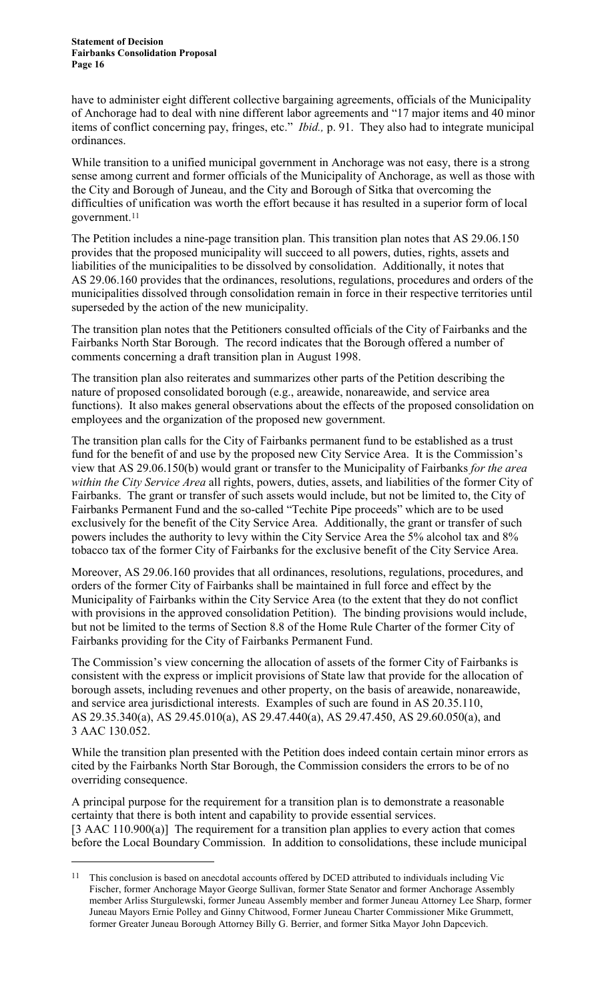$\overline{a}$ 

have to administer eight different collective bargaining agreements, officials of the Municipality of Anchorage had to deal with nine different labor agreements and "17 major items and 40 minor items of conflict concerning pay, fringes, etc." *Ibid.,* p. 91. They also had to integrate municipal ordinances.

While transition to a unified municipal government in Anchorage was not easy, there is a strong sense among current and former officials of the Municipality of Anchorage, as well as those with the City and Borough of Juneau, and the City and Borough of Sitka that overcoming the difficulties of unification was worth the effort because it has resulted in a superior form of local government.11

The Petition includes a nine-page transition plan. This transition plan notes that AS 29.06.150 provides that the proposed municipality will succeed to all powers, duties, rights, assets and liabilities of the municipalities to be dissolved by consolidation. Additionally, it notes that AS 29.06.160 provides that the ordinances, resolutions, regulations, procedures and orders of the municipalities dissolved through consolidation remain in force in their respective territories until superseded by the action of the new municipality.

The transition plan notes that the Petitioners consulted officials of the City of Fairbanks and the Fairbanks North Star Borough. The record indicates that the Borough offered a number of comments concerning a draft transition plan in August 1998.

The transition plan also reiterates and summarizes other parts of the Petition describing the nature of proposed consolidated borough (e.g., areawide, nonareawide, and service area functions). It also makes general observations about the effects of the proposed consolidation on employees and the organization of the proposed new government.

The transition plan calls for the City of Fairbanks permanent fund to be established as a trust fund for the benefit of and use by the proposed new City Service Area. It is the Commission's view that AS 29.06.150(b) would grant or transfer to the Municipality of Fairbanks *for the area within the City Service Area* all rights, powers, duties, assets, and liabilities of the former City of Fairbanks. The grant or transfer of such assets would include, but not be limited to, the City of Fairbanks Permanent Fund and the so-called "Techite Pipe proceeds" which are to be used exclusively for the benefit of the City Service Area. Additionally, the grant or transfer of such powers includes the authority to levy within the City Service Area the 5% alcohol tax and 8% tobacco tax of the former City of Fairbanks for the exclusive benefit of the City Service Area.

Moreover, AS 29.06.160 provides that all ordinances, resolutions, regulations, procedures, and orders of the former City of Fairbanks shall be maintained in full force and effect by the Municipality of Fairbanks within the City Service Area (to the extent that they do not conflict with provisions in the approved consolidation Petition). The binding provisions would include, but not be limited to the terms of Section 8.8 of the Home Rule Charter of the former City of Fairbanks providing for the City of Fairbanks Permanent Fund.

The Commission's view concerning the allocation of assets of the former City of Fairbanks is consistent with the express or implicit provisions of State law that provide for the allocation of borough assets, including revenues and other property, on the basis of areawide, nonareawide, and service area jurisdictional interests. Examples of such are found in AS 20.35.110, AS 29.35.340(a), AS 29.45.010(a), AS 29.47.440(a), AS 29.47.450, AS 29.60.050(a), and 3 AAC 130.052.

While the transition plan presented with the Petition does indeed contain certain minor errors as cited by the Fairbanks North Star Borough, the Commission considers the errors to be of no overriding consequence.

A principal purpose for the requirement for a transition plan is to demonstrate a reasonable certainty that there is both intent and capability to provide essential services. [3 AAC 110.900(a)] The requirement for a transition plan applies to every action that comes before the Local Boundary Commission. In addition to consolidations, these include municipal

<sup>&</sup>lt;sup>11</sup> This conclusion is based on anecdotal accounts offered by DCED attributed to individuals including Vic Fischer, former Anchorage Mayor George Sullivan, former State Senator and former Anchorage Assembly member Arliss Sturgulewski, former Juneau Assembly member and former Juneau Attorney Lee Sharp, former Juneau Mayors Ernie Polley and Ginny Chitwood, Former Juneau Charter Commissioner Mike Grummett, former Greater Juneau Borough Attorney Billy G. Berrier, and former Sitka Mayor John Dapcevich.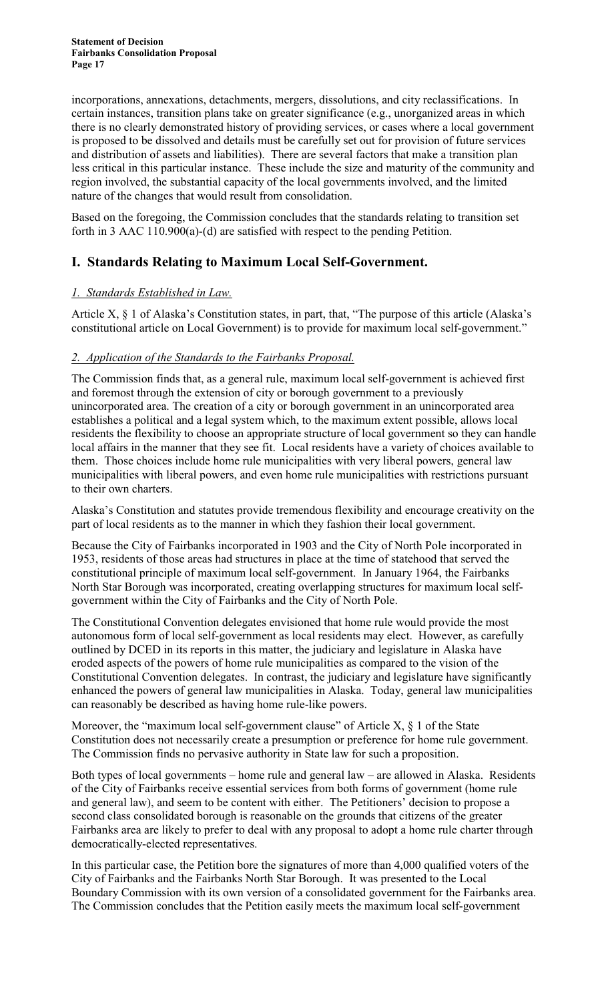incorporations, annexations, detachments, mergers, dissolutions, and city reclassifications. In certain instances, transition plans take on greater significance (e.g., unorganized areas in which there is no clearly demonstrated history of providing services, or cases where a local government is proposed to be dissolved and details must be carefully set out for provision of future services and distribution of assets and liabilities). There are several factors that make a transition plan less critical in this particular instance. These include the size and maturity of the community and region involved, the substantial capacity of the local governments involved, and the limited nature of the changes that would result from consolidation.

Based on the foregoing, the Commission concludes that the standards relating to transition set forth in 3 AAC 110.900(a)-(d) are satisfied with respect to the pending Petition.

# **I. Standards Relating to Maximum Local Self-Government.**

#### *1. Standards Established in Law.*

Article X, § 1 of Alaska's Constitution states, in part, that, "The purpose of this article (Alaska's constitutional article on Local Government) is to provide for maximum local self-government."

#### *2. Application of the Standards to the Fairbanks Proposal.*

The Commission finds that, as a general rule, maximum local self-government is achieved first and foremost through the extension of city or borough government to a previously unincorporated area. The creation of a city or borough government in an unincorporated area establishes a political and a legal system which, to the maximum extent possible, allows local residents the flexibility to choose an appropriate structure of local government so they can handle local affairs in the manner that they see fit. Local residents have a variety of choices available to them. Those choices include home rule municipalities with very liberal powers, general law municipalities with liberal powers, and even home rule municipalities with restrictions pursuant to their own charters.

Alaska's Constitution and statutes provide tremendous flexibility and encourage creativity on the part of local residents as to the manner in which they fashion their local government.

Because the City of Fairbanks incorporated in 1903 and the City of North Pole incorporated in 1953, residents of those areas had structures in place at the time of statehood that served the constitutional principle of maximum local self-government. In January 1964, the Fairbanks North Star Borough was incorporated, creating overlapping structures for maximum local selfgovernment within the City of Fairbanks and the City of North Pole.

The Constitutional Convention delegates envisioned that home rule would provide the most autonomous form of local self-government as local residents may elect. However, as carefully outlined by DCED in its reports in this matter, the judiciary and legislature in Alaska have eroded aspects of the powers of home rule municipalities as compared to the vision of the Constitutional Convention delegates. In contrast, the judiciary and legislature have significantly enhanced the powers of general law municipalities in Alaska. Today, general law municipalities can reasonably be described as having home rule-like powers.

Moreover, the "maximum local self-government clause" of Article X, § 1 of the State Constitution does not necessarily create a presumption or preference for home rule government. The Commission finds no pervasive authority in State law for such a proposition.

Both types of local governments – home rule and general law – are allowed in Alaska. Residents of the City of Fairbanks receive essential services from both forms of government (home rule and general law), and seem to be content with either. The Petitioners' decision to propose a second class consolidated borough is reasonable on the grounds that citizens of the greater Fairbanks area are likely to prefer to deal with any proposal to adopt a home rule charter through democratically-elected representatives.

In this particular case, the Petition bore the signatures of more than 4,000 qualified voters of the City of Fairbanks and the Fairbanks North Star Borough. It was presented to the Local Boundary Commission with its own version of a consolidated government for the Fairbanks area. The Commission concludes that the Petition easily meets the maximum local self-government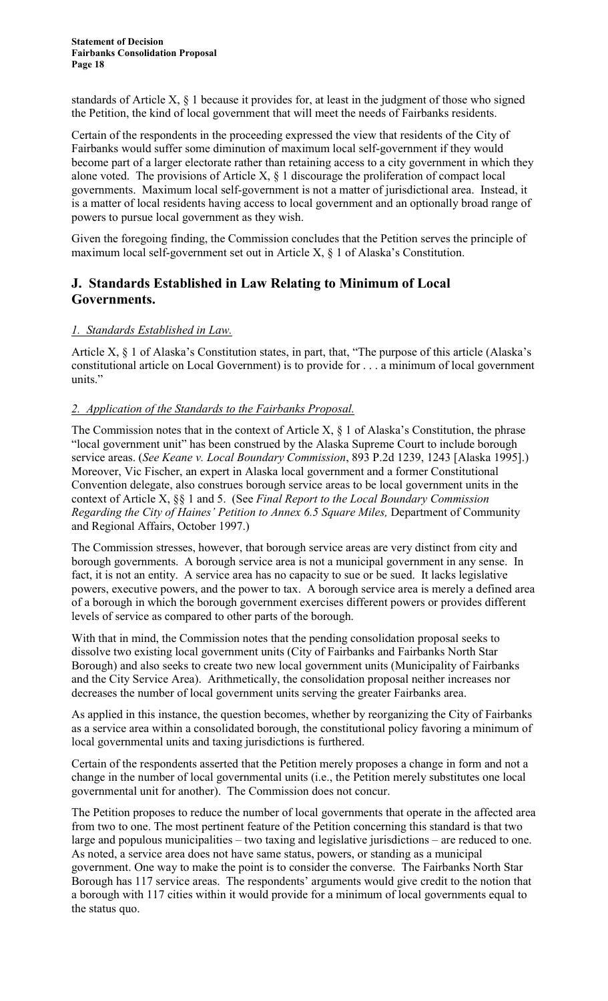standards of Article X, § 1 because it provides for, at least in the judgment of those who signed the Petition, the kind of local government that will meet the needs of Fairbanks residents.

Certain of the respondents in the proceeding expressed the view that residents of the City of Fairbanks would suffer some diminution of maximum local self-government if they would become part of a larger electorate rather than retaining access to a city government in which they alone voted. The provisions of Article X,  $\S$  1 discourage the proliferation of compact local governments. Maximum local self-government is not a matter of jurisdictional area. Instead, it is a matter of local residents having access to local government and an optionally broad range of powers to pursue local government as they wish.

Given the foregoing finding, the Commission concludes that the Petition serves the principle of maximum local self-government set out in Article X, § 1 of Alaska's Constitution.

## **J. Standards Established in Law Relating to Minimum of Local Governments.**

#### *1. Standards Established in Law.*

Article X, § 1 of Alaska's Constitution states, in part, that, "The purpose of this article (Alaska's constitutional article on Local Government) is to provide for . . . a minimum of local government units."

#### *2. Application of the Standards to the Fairbanks Proposal.*

The Commission notes that in the context of Article X,  $\S$  1 of Alaska's Constitution, the phrase "local government unit" has been construed by the Alaska Supreme Court to include borough service areas. (*See Keane v. Local Boundary Commission*, 893 P.2d 1239, 1243 [Alaska 1995].) Moreover, Vic Fischer, an expert in Alaska local government and a former Constitutional Convention delegate, also construes borough service areas to be local government units in the context of Article X, §§ 1 and 5. (See *Final Report to the Local Boundary Commission Regarding the City of Haines' Petition to Annex 6.5 Square Miles, Department of Community* and Regional Affairs, October 1997.)

The Commission stresses, however, that borough service areas are very distinct from city and borough governments. A borough service area is not a municipal government in any sense. In fact, it is not an entity. A service area has no capacity to sue or be sued. It lacks legislative powers, executive powers, and the power to tax. A borough service area is merely a defined area of a borough in which the borough government exercises different powers or provides different levels of service as compared to other parts of the borough.

With that in mind, the Commission notes that the pending consolidation proposal seeks to dissolve two existing local government units (City of Fairbanks and Fairbanks North Star Borough) and also seeks to create two new local government units (Municipality of Fairbanks and the City Service Area). Arithmetically, the consolidation proposal neither increases nor decreases the number of local government units serving the greater Fairbanks area.

As applied in this instance, the question becomes, whether by reorganizing the City of Fairbanks as a service area within a consolidated borough, the constitutional policy favoring a minimum of local governmental units and taxing jurisdictions is furthered.

Certain of the respondents asserted that the Petition merely proposes a change in form and not a change in the number of local governmental units (i.e., the Petition merely substitutes one local governmental unit for another). The Commission does not concur.

The Petition proposes to reduce the number of local governments that operate in the affected area from two to one. The most pertinent feature of the Petition concerning this standard is that two large and populous municipalities – two taxing and legislative jurisdictions – are reduced to one. As noted, a service area does not have same status, powers, or standing as a municipal government. One way to make the point is to consider the converse. The Fairbanks North Star Borough has 117 service areas. The respondents' arguments would give credit to the notion that a borough with 117 cities within it would provide for a minimum of local governments equal to the status quo.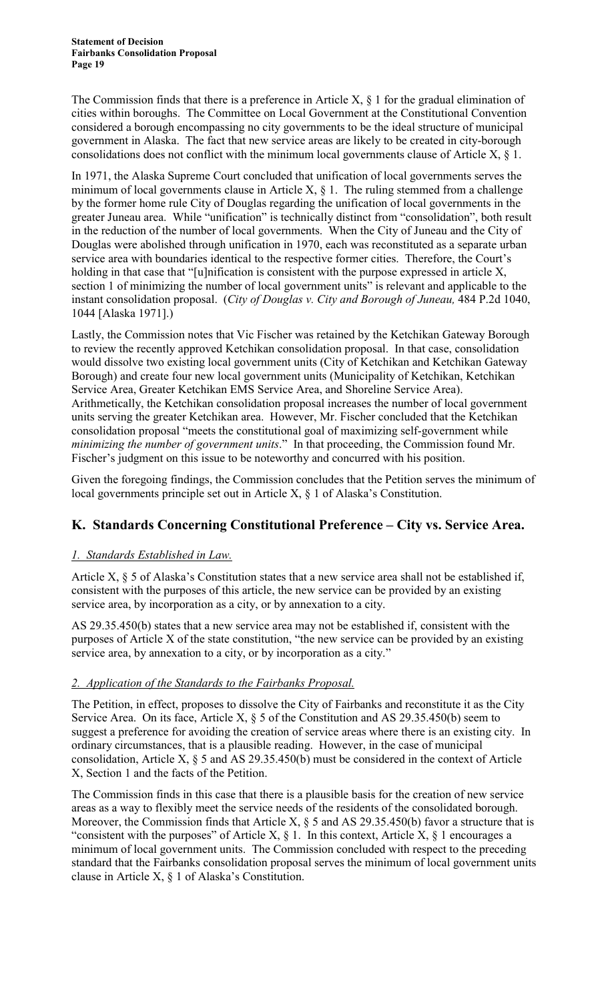The Commission finds that there is a preference in Article  $X$ ,  $\S$  1 for the gradual elimination of cities within boroughs. The Committee on Local Government at the Constitutional Convention considered a borough encompassing no city governments to be the ideal structure of municipal government in Alaska. The fact that new service areas are likely to be created in city-borough consolidations does not conflict with the minimum local governments clause of Article  $X$ ,  $\S$  1.

In 1971, the Alaska Supreme Court concluded that unification of local governments serves the minimum of local governments clause in Article  $X$ ,  $\S$  1. The ruling stemmed from a challenge by the former home rule City of Douglas regarding the unification of local governments in the greater Juneau area. While "unification" is technically distinct from "consolidation", both result in the reduction of the number of local governments. When the City of Juneau and the City of Douglas were abolished through unification in 1970, each was reconstituted as a separate urban service area with boundaries identical to the respective former cities. Therefore, the Court's holding in that case that "[u]nification is consistent with the purpose expressed in article X, section 1 of minimizing the number of local government units" is relevant and applicable to the instant consolidation proposal. (*City of Douglas v. City and Borough of Juneau,* 484 P.2d 1040, 1044 [Alaska 1971].)

Lastly, the Commission notes that Vic Fischer was retained by the Ketchikan Gateway Borough to review the recently approved Ketchikan consolidation proposal. In that case, consolidation would dissolve two existing local government units (City of Ketchikan and Ketchikan Gateway Borough) and create four new local government units (Municipality of Ketchikan, Ketchikan Service Area, Greater Ketchikan EMS Service Area, and Shoreline Service Area). Arithmetically, the Ketchikan consolidation proposal increases the number of local government units serving the greater Ketchikan area. However, Mr. Fischer concluded that the Ketchikan consolidation proposal "meets the constitutional goal of maximizing self-government while *minimizing the number of government units*." In that proceeding, the Commission found Mr. Fischer's judgment on this issue to be noteworthy and concurred with his position.

Given the foregoing findings, the Commission concludes that the Petition serves the minimum of local governments principle set out in Article X, § 1 of Alaska's Constitution.

## **K. Standards Concerning Constitutional Preference – City vs. Service Area.**

#### *1. Standards Established in Law.*

Article X, § 5 of Alaska's Constitution states that a new service area shall not be established if, consistent with the purposes of this article, the new service can be provided by an existing service area, by incorporation as a city, or by annexation to a city.

AS 29.35.450(b) states that a new service area may not be established if, consistent with the purposes of Article X of the state constitution, "the new service can be provided by an existing service area, by annexation to a city, or by incorporation as a city."

#### *2. Application of the Standards to the Fairbanks Proposal.*

The Petition, in effect, proposes to dissolve the City of Fairbanks and reconstitute it as the City Service Area. On its face, Article X,  $\S$  5 of the Constitution and AS 29.35.450(b) seem to suggest a preference for avoiding the creation of service areas where there is an existing city. In ordinary circumstances, that is a plausible reading. However, in the case of municipal consolidation, Article X, § 5 and AS 29.35.450(b) must be considered in the context of Article X, Section 1 and the facts of the Petition.

The Commission finds in this case that there is a plausible basis for the creation of new service areas as a way to flexibly meet the service needs of the residents of the consolidated borough. Moreover, the Commission finds that Article X,  $\S$  5 and AS 29.35.450(b) favor a structure that is "consistent with the purposes" of Article X,  $\S$  1. In this context, Article X,  $\S$  1 encourages a minimum of local government units. The Commission concluded with respect to the preceding standard that the Fairbanks consolidation proposal serves the minimum of local government units clause in Article X, § 1 of Alaska's Constitution.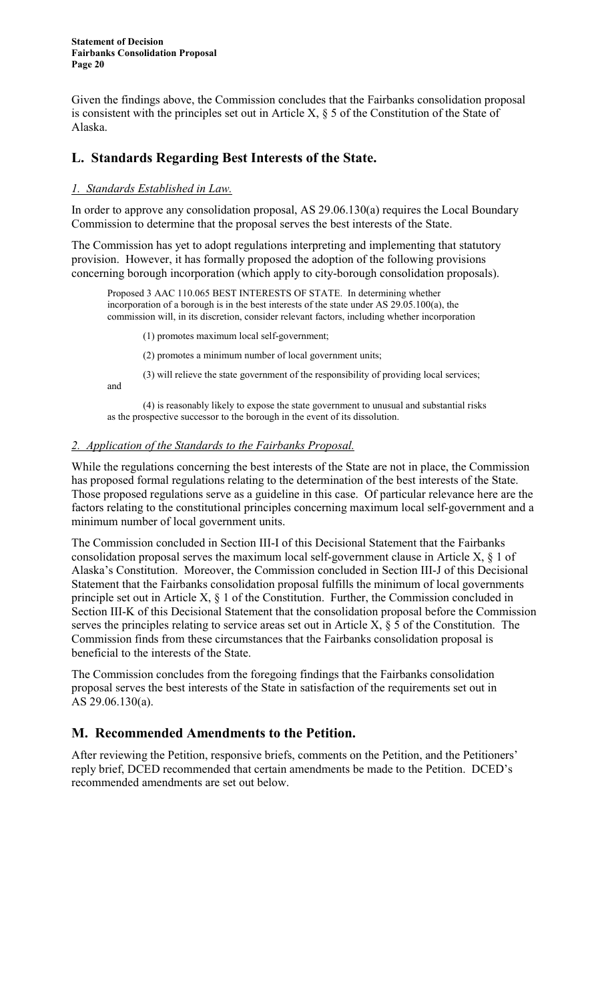Given the findings above, the Commission concludes that the Fairbanks consolidation proposal is consistent with the principles set out in Article X, § 5 of the Constitution of the State of Alaska.

#### **L. Standards Regarding Best Interests of the State.**

#### *1. Standards Established in Law.*

In order to approve any consolidation proposal, AS 29.06.130(a) requires the Local Boundary Commission to determine that the proposal serves the best interests of the State.

The Commission has yet to adopt regulations interpreting and implementing that statutory provision. However, it has formally proposed the adoption of the following provisions concerning borough incorporation (which apply to city-borough consolidation proposals).

Proposed 3 AAC 110.065 BEST INTERESTS OF STATE. In determining whether incorporation of a borough is in the best interests of the state under AS 29.05.100(a), the commission will, in its discretion, consider relevant factors, including whether incorporation

(1) promotes maximum local self-government;

(2) promotes a minimum number of local government units;

(3) will relieve the state government of the responsibility of providing local services;

and

(4) is reasonably likely to expose the state government to unusual and substantial risks as the prospective successor to the borough in the event of its dissolution.

#### *2. Application of the Standards to the Fairbanks Proposal.*

While the regulations concerning the best interests of the State are not in place, the Commission has proposed formal regulations relating to the determination of the best interests of the State. Those proposed regulations serve as a guideline in this case. Of particular relevance here are the factors relating to the constitutional principles concerning maximum local self-government and a minimum number of local government units.

The Commission concluded in Section III-I of this Decisional Statement that the Fairbanks consolidation proposal serves the maximum local self-government clause in Article X, § 1 of Alaska's Constitution. Moreover, the Commission concluded in Section III-J of this Decisional Statement that the Fairbanks consolidation proposal fulfills the minimum of local governments principle set out in Article X, § 1 of the Constitution. Further, the Commission concluded in Section III-K of this Decisional Statement that the consolidation proposal before the Commission serves the principles relating to service areas set out in Article X,  $\S$  5 of the Constitution. The Commission finds from these circumstances that the Fairbanks consolidation proposal is beneficial to the interests of the State.

The Commission concludes from the foregoing findings that the Fairbanks consolidation proposal serves the best interests of the State in satisfaction of the requirements set out in AS 29.06.130(a).

#### **M. Recommended Amendments to the Petition.**

After reviewing the Petition, responsive briefs, comments on the Petition, and the Petitioners' reply brief, DCED recommended that certain amendments be made to the Petition. DCED's recommended amendments are set out below.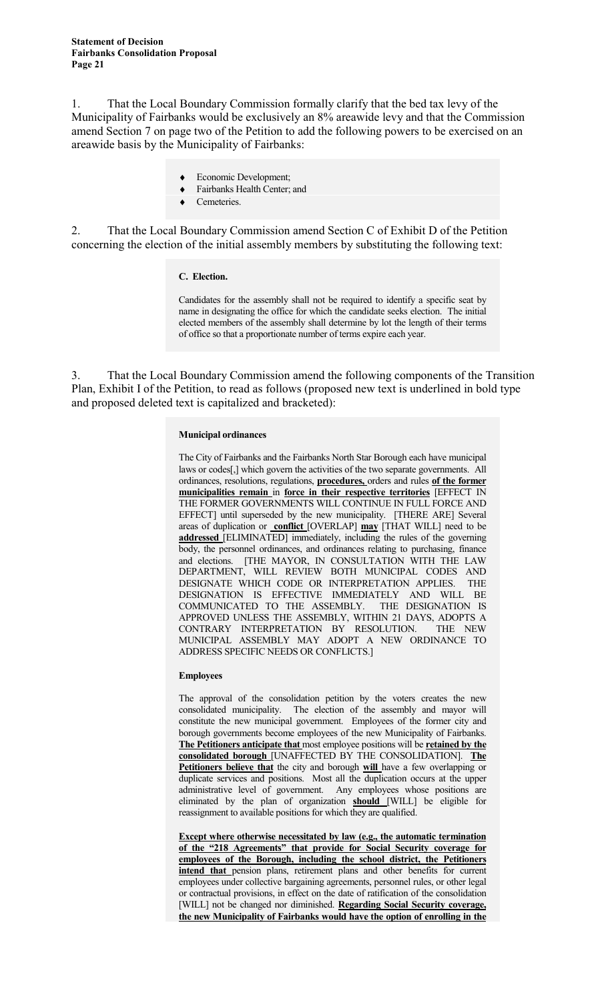1. That the Local Boundary Commission formally clarify that the bed tax levy of the Municipality of Fairbanks would be exclusively an 8% areawide levy and that the Commission amend Section 7 on page two of the Petition to add the following powers to be exercised on an areawide basis by the Municipality of Fairbanks:

- ♦ Economic Development;
- Fairbanks Health Center; and
- Cemeteries.

2. That the Local Boundary Commission amend Section C of Exhibit D of the Petition concerning the election of the initial assembly members by substituting the following text:

#### **C. Election.**

Candidates for the assembly shall not be required to identify a specific seat by name in designating the office for which the candidate seeks election. The initial elected members of the assembly shall determine by lot the length of their terms of office so that a proportionate number of terms expire each year.

3. That the Local Boundary Commission amend the following components of the Transition Plan, Exhibit I of the Petition, to read as follows (proposed new text is underlined in bold type and proposed deleted text is capitalized and bracketed):

#### **Municipal ordinances**

The City of Fairbanks and the Fairbanks North Star Borough each have municipal laws or codes[,] which govern the activities of the two separate governments. All ordinances, resolutions, regulations, **procedures,** orders and rules **of the former municipalities remain** in **force in their respective territories** [EFFECT IN THE FORMER GOVERNMENTS WILL CONTINUE IN FULL FORCE AND EFFECT] until superseded by the new municipality. [THERE ARE] Several areas of duplication or **conflict** [OVERLAP] **may** [THAT WILL] need to be **addressed** [ELIMINATED] immediately, including the rules of the governing body, the personnel ordinances, and ordinances relating to purchasing, finance and elections. [THE MAYOR, IN CONSULTATION WITH THE LAW DEPARTMENT, WILL REVIEW BOTH MUNICIPAL CODES AND DESIGNATE WHICH CODE OR INTERPRETATION APPLIES. THE DESIGNATION IS EFFECTIVE IMMEDIATELY AND WILL BE COMMUNICATED TO THE ASSEMBLY. THE DESIGNATION IS APPROVED UNLESS THE ASSEMBLY, WITHIN 21 DAYS, ADOPTS A CONTRARY INTERPRETATION BY RESOLUTION. THE NEW MUNICIPAL ASSEMBLY MAY ADOPT A NEW ORDINANCE TO ADDRESS SPECIFIC NEEDS OR CONFLICTS.]

#### **Employees**

The approval of the consolidation petition by the voters creates the new consolidated municipality. The election of the assembly and mayor will constitute the new municipal government. Employees of the former city and borough governments become employees of the new Municipality of Fairbanks. **The Petitioners anticipate that** most employee positions will be **retained by the consolidated borough** [UNAFFECTED BY THE CONSOLIDATION]. **The Petitioners believe that** the city and borough **will** have a few overlapping or duplicate services and positions. Most all the duplication occurs at the upper administrative level of government. Any employees whose positions are eliminated by the plan of organization **should** [WILL] be eligible for reassignment to available positions for which they are qualified.

**Except where otherwise necessitated by law (e.g., the automatic termination of the "218 Agreements" that provide for Social Security coverage for employees of the Borough, including the school district, the Petitioners intend that** pension plans, retirement plans and other benefits for current employees under collective bargaining agreements, personnel rules, or other legal or contractual provisions, in effect on the date of ratification of the consolidation [WILL] not be changed nor diminished. **Regarding Social Security coverage, the new Municipality of Fairbanks would have the option of enrolling in the**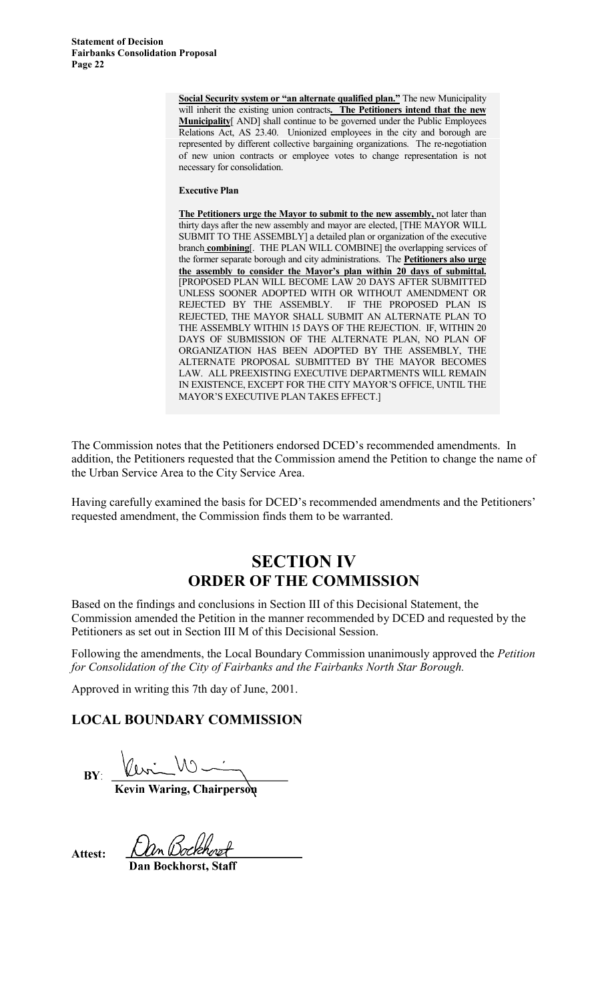> **Social Security system or "an alternate qualified plan."** The new Municipality will inherit the existing union contracts**. The Petitioners intend that the new Municipality**[ AND] shall continue to be governed under the Public Employees Relations Act, AS 23.40. Unionized employees in the city and borough are represented by different collective bargaining organizations. The re-negotiation of new union contracts or employee votes to change representation is not necessary for consolidation.

#### **Executive Plan**

**The Petitioners urge the Mayor to submit to the new assembly,** not later than thirty days after the new assembly and mayor are elected, [THE MAYOR WILL SUBMIT TO THE ASSEMBLY] a detailed plan or organization of the executive branch **combining**[. THE PLAN WILL COMBINE] the overlapping services of the former separate borough and city administrations. The **Petitioners also urge the assembly to consider the Mayor's plan within 20 days of submittal.** [PROPOSED PLAN WILL BECOME LAW 20 DAYS AFTER SUBMITTED UNLESS SOONER ADOPTED WITH OR WITHOUT AMENDMENT OR REJECTED BY THE ASSEMBLY. IF THE PROPOSED PLAN IS REJECTED, THE MAYOR SHALL SUBMIT AN ALTERNATE PLAN TO THE ASSEMBLY WITHIN 15 DAYS OF THE REJECTION. IF, WITHIN 20 DAYS OF SUBMISSION OF THE ALTERNATE PLAN, NO PLAN OF ORGANIZATION HAS BEEN ADOPTED BY THE ASSEMBLY, THE ALTERNATE PROPOSAL SUBMITTED BY THE MAYOR BECOMES LAW. ALL PREEXISTING EXECUTIVE DEPARTMENTS WILL REMAIN IN EXISTENCE, EXCEPT FOR THE CITY MAYOR'S OFFICE, UNTIL THE MAYOR'S EXECUTIVE PLAN TAKES EFFECT.]

The Commission notes that the Petitioners endorsed DCED's recommended amendments. In addition, the Petitioners requested that the Commission amend the Petition to change the name of the Urban Service Area to the City Service Area.

Having carefully examined the basis for DCED's recommended amendments and the Petitioners' requested amendment, the Commission finds them to be warranted.

# **SECTION IV ORDER OF THE COMMISSION**

Based on the findings and conclusions in Section III of this Decisional Statement, the Commission amended the Petition in the manner recommended by DCED and requested by the Petitioners as set out in Section III M of this Decisional Session.

Following the amendments, the Local Boundary Commission unanimously approved the *Petition for Consolidation of the City of Fairbanks and the Fairbanks North Star Borough.*

Approved in writing this 7th day of June, 2001.

## **LOCAL BOUNDARY COMMISSION**

**BY:** 

Kevin Waring, Chairpersoq

**Attest:**

Dan Bockhorst